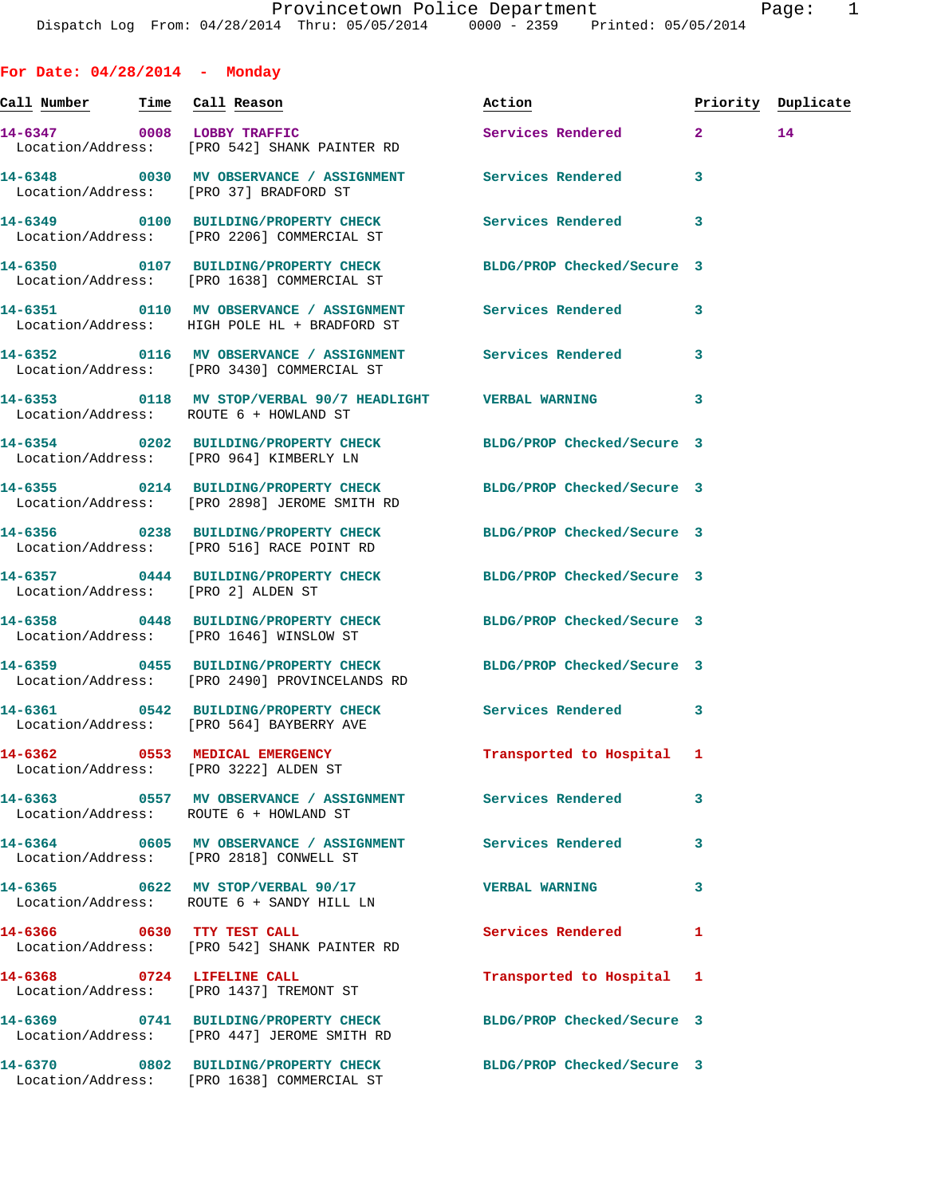**For Date: 04/28/2014 - Monday Call Number Time Call Reason Action Priority Duplicate 14-6347 0008 LOBBY TRAFFIC Services Rendered 2 14**  Location/Address: [PRO 542] SHANK PAINTER RD **14-6348 0030 MV OBSERVANCE / ASSIGNMENT Services Rendered 3**  Location/Address: [PRO 37] BRADFORD ST **14-6349 0100 BUILDING/PROPERTY CHECK Services Rendered 3**  Location/Address: [PRO 2206] COMMERCIAL ST **14-6350 0107 BUILDING/PROPERTY CHECK BLDG/PROP Checked/Secure 3**  Location/Address: [PRO 1638] COMMERCIAL ST **14-6351 0110 MV OBSERVANCE / ASSIGNMENT Services Rendered 3**  Location/Address: HIGH POLE HL + BRADFORD ST **14-6352 0116 MV OBSERVANCE / ASSIGNMENT Services Rendered 3**  Location/Address: [PRO 3430] COMMERCIAL ST **14-6353 0118 MV STOP/VERBAL 90/7 HEADLIGHT VERBAL WARNING 3**  Location/Address: ROUTE 6 + HOWLAND ST **14-6354 0202 BUILDING/PROPERTY CHECK BLDG/PROP Checked/Secure 3**  Location/Address: [PRO 964] KIMBERLY LN **14-6355 0214 BUILDING/PROPERTY CHECK BLDG/PROP Checked/Secure 3**  Location/Address: [PRO 2898] JEROME SMITH RD **14-6356 0238 BUILDING/PROPERTY CHECK BLDG/PROP Checked/Secure 3**  Location/Address: [PRO 516] RACE POINT RD **14-6357 0444 BUILDING/PROPERTY CHECK BLDG/PROP Checked/Secure 3**  Location/Address: [PRO 2] ALDEN ST **14-6358 0448 BUILDING/PROPERTY CHECK BLDG/PROP Checked/Secure 3**  Location/Address: [PRO 1646] WINSLOW ST **14-6359 0455 BUILDING/PROPERTY CHECK BLDG/PROP Checked/Secure 3**  Location/Address: [PRO 2490] PROVINCELANDS RD **14-6361 0542 BUILDING/PROPERTY CHECK Services Rendered 3**  Location/Address: [PRO 564] BAYBERRY AVE **14-6362 0553 MEDICAL EMERGENCY Transported to Hospital 1**  Location/Address: [PRO 3222] ALDEN ST **14-6363 0557 MV OBSERVANCE / ASSIGNMENT Services Rendered 3**  Location/Address: ROUTE 6 + HOWLAND ST **14-6364 0605 MV OBSERVANCE / ASSIGNMENT Services Rendered 3**  Location/Address: [PRO 2818] CONWELL ST **14-6365 0622 MV STOP/VERBAL 90/17 VERBAL WARNING 3**  Location/Address: ROUTE 6 + SANDY HILL LN **14-6366 0630 TTY TEST CALL Services Rendered 1**  Location/Address: [PRO 542] SHANK PAINTER RD **14-6368 0724 LIFELINE CALL Transported to Hospital 1**  Location/Address: [PRO 1437] TREMONT ST

**14-6369 0741 BUILDING/PROPERTY CHECK BLDG/PROP Checked/Secure 3**  Location/Address: [PRO 447] JEROME SMITH RD

Location/Address: [PRO 1638] COMMERCIAL ST

**14-6370 0802 BUILDING/PROPERTY CHECK BLDG/PROP Checked/Secure 3**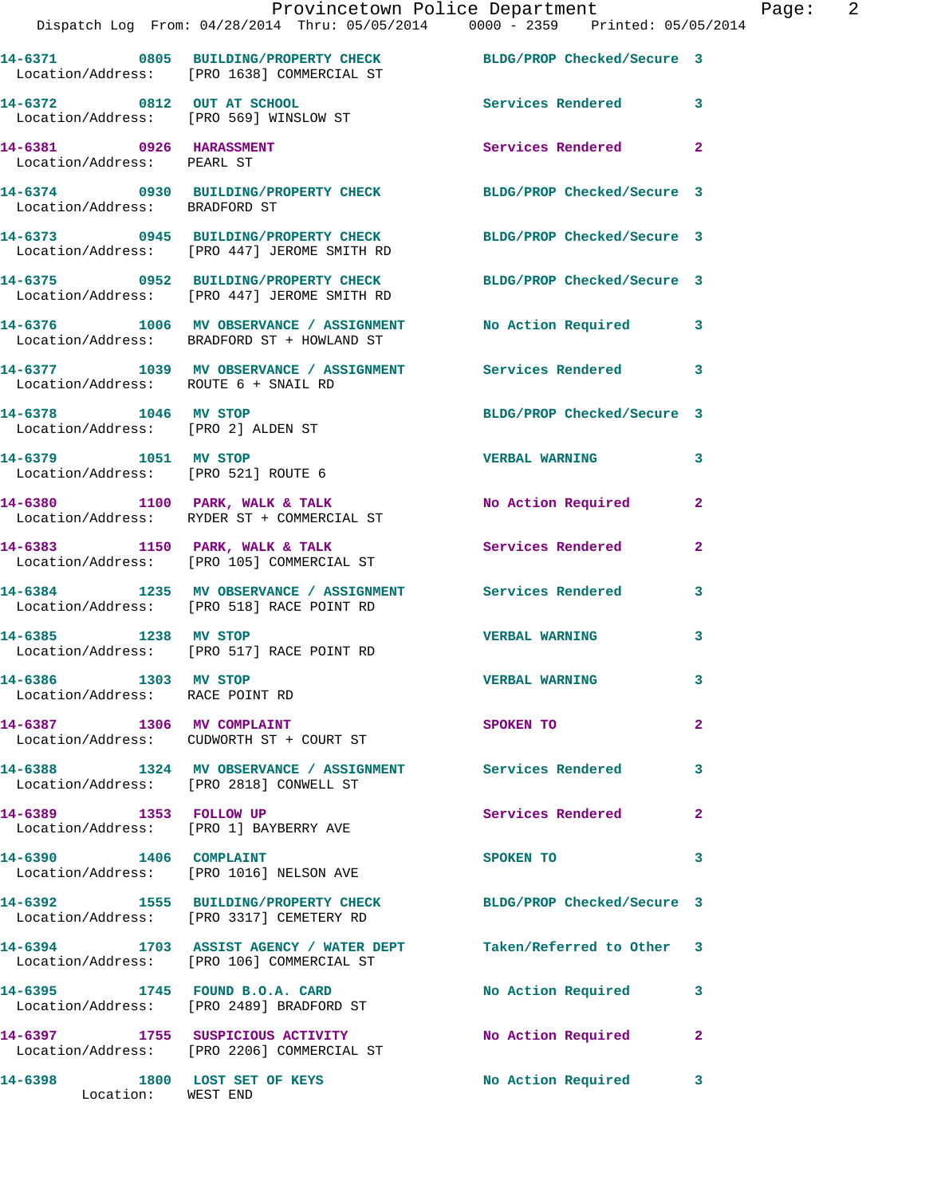|                                                            | Provincetown Police Department<br>Dispatch Log From: 04/28/2014 Thru: 05/05/2014 0000 - 2359 Printed: 05/05/2014 |                            | Ρa             |
|------------------------------------------------------------|------------------------------------------------------------------------------------------------------------------|----------------------------|----------------|
|                                                            | 14-6371 0805 BUILDING/PROPERTY CHECK BLDG/PROP Checked/Secure 3<br>Location/Address: [PRO 1638] COMMERCIAL ST    |                            |                |
|                                                            | 14-6372 0812 OUT AT SCHOOL<br>Location/Address: [PRO 569] WINSLOW ST                                             | Services Rendered 3        |                |
| 14-6381 0926 HARASSMENT<br>Location/Address: PEARL ST      |                                                                                                                  | Services Rendered 2        |                |
| Location/Address: BRADFORD ST                              | 14-6374 0930 BUILDING/PROPERTY CHECK BLDG/PROP Checked/Secure 3                                                  |                            |                |
|                                                            | 14-6373 0945 BUILDING/PROPERTY CHECK BLDG/PROP Checked/Secure 3<br>Location/Address: [PRO 447] JEROME SMITH RD   |                            |                |
|                                                            | 14-6375 0952 BUILDING/PROPERTY CHECK BLDG/PROP Checked/Secure 3<br>Location/Address: [PRO 447] JEROME SMITH RD   |                            |                |
|                                                            | 14-6376 1006 MV OBSERVANCE / ASSIGNMENT No Action Required 3<br>Location/Address: BRADFORD ST + HOWLAND ST       |                            |                |
| Location/Address: ROUTE 6 + SNAIL RD                       | 14-6377 1039 MV OBSERVANCE / ASSIGNMENT Services Rendered 3                                                      |                            |                |
| 14-6378 1046 MV STOP<br>Location/Address: [PRO 2] ALDEN ST |                                                                                                                  | BLDG/PROP Checked/Secure 3 |                |
| 14-6379 1051 MV STOP                                       | Location/Address: [PRO 521] ROUTE 6                                                                              | <b>VERBAL WARNING</b>      | 3              |
|                                                            | 14-6380 1100 PARK, WALK & TALK<br>Location/Address: RYDER ST + COMMERCIAL ST                                     | No Action Required         | $\mathbf{2}$   |
|                                                            | 14-6383 1150 PARK, WALK & TALK 1988 Services Rendered<br>Location/Address: [PRO 105] COMMERCIAL ST               |                            | $\mathbf{2}$   |
|                                                            | 14-6384 1235 MV OBSERVANCE / ASSIGNMENT Services Rendered<br>Location/Address: [PRO 518] RACE POINT RD           |                            | 3              |
| 14-6385 1238 MV STOP                                       | Location/Address: [PRO 517] RACE POINT RD                                                                        | <b>VERBAL WARNING</b>      | 3              |
| 14-6386 1303 MV STOP<br>Location/Address: RACE POINT RD    |                                                                                                                  | <b>VERBAL WARNING</b>      | 3              |
| 14-6387 1306 MV COMPLAINT                                  | Location/Address: CUDWORTH ST + COURT ST                                                                         | <b>SPOKEN TO</b>           | $\overline{a}$ |
|                                                            | 14-6388 1324 MV OBSERVANCE / ASSIGNMENT Services Rendered<br>Location/Address: [PRO 2818] CONWELL ST             |                            | 3              |
| 14-6389 1353 FOLLOW UP                                     | Location/Address: [PRO 1] BAYBERRY AVE                                                                           | <b>Services Rendered</b>   | $\mathbf{2}$   |
| 14-6390 1406 COMPLAINT                                     | Location/Address: [PRO 1016] NELSON AVE                                                                          | SPOKEN TO                  | 3              |
|                                                            | 14-6392 1555 BUILDING/PROPERTY CHECK BLDG/PROP Checked/Secure 3<br>Location/Address: [PRO 3317] CEMETERY RD      |                            |                |
|                                                            | 14-6394 1703 ASSIST AGENCY / WATER DEPT Taken/Referred to Other<br>Location/Address: [PRO 106] COMMERCIAL ST     |                            | 3              |
|                                                            | 14-6395 1745 FOUND B.O.A. CARD<br>Location/Address: [PRO 2489] BRADFORD ST                                       | No Action Required         | 3              |
|                                                            | 14-6397 1755 SUSPICIOUS ACTIVITY<br>Location/Address: [PRO 2206] COMMERCIAL ST                                   | No Action Required         | $\mathbf{2}$   |
| 14-6398 1800 LOST SET OF KEYS                              |                                                                                                                  | No Action Required 3       |                |

Location: WEST END

age: 2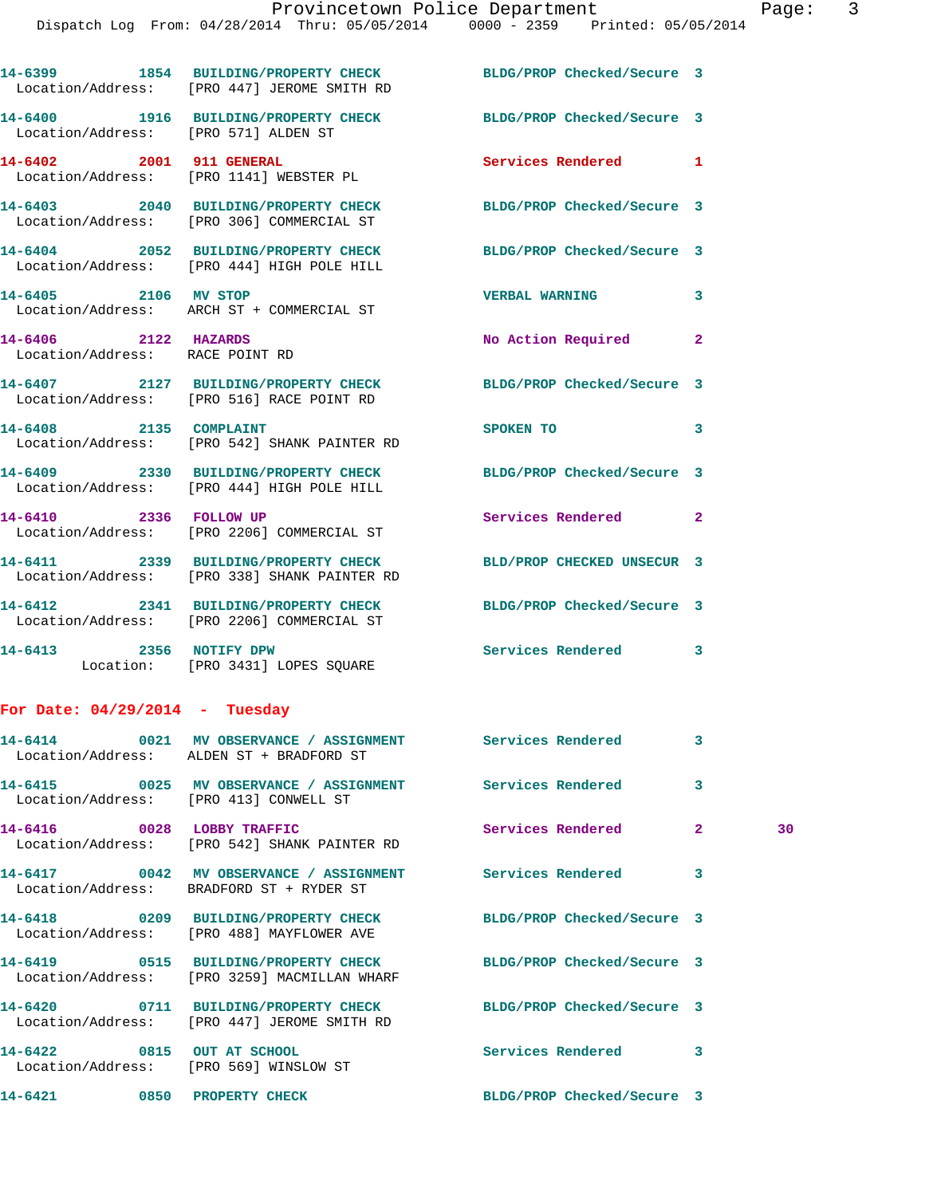|                                                                      | 14-6399 1854 BUILDING/PROPERTY CHECK<br>Location/Address: [PRO 447] JEROME SMITH RD                           | BLDG/PROP Checked/Secure 3 |              |    |
|----------------------------------------------------------------------|---------------------------------------------------------------------------------------------------------------|----------------------------|--------------|----|
| Location/Address: [PRO 571] ALDEN ST                                 | 14-6400 1916 BUILDING/PROPERTY CHECK                                                                          | BLDG/PROP Checked/Secure 3 |              |    |
|                                                                      | 14-6402 2001 911 GENERAL<br>Location/Address: [PRO 1141] WEBSTER PL                                           | Services Rendered 1        |              |    |
|                                                                      | 14-6403 2040 BUILDING/PROPERTY CHECK<br>Location/Address: [PRO 306] COMMERCIAL ST                             | BLDG/PROP Checked/Secure 3 |              |    |
|                                                                      | 14-6404 2052 BUILDING/PROPERTY CHECK BLDG/PROP Checked/Secure 3<br>Location/Address: [PRO 444] HIGH POLE HILL |                            |              |    |
| 14-6405 2106 MV STOP                                                 | Location/Address: ARCH ST + COMMERCIAL ST                                                                     | <b>VERBAL WARNING</b>      | 3            |    |
| 14-6406 2122 HAZARDS<br>Location/Address: RACE POINT RD              |                                                                                                               | No Action Required 2       |              |    |
|                                                                      | 14-6407 2127 BUILDING/PROPERTY CHECK BLDG/PROP Checked/Secure 3<br>Location/Address: [PRO 516] RACE POINT RD  |                            |              |    |
|                                                                      | 14-6408 2135 COMPLAINT<br>Location/Address: [PRO 542] SHANK PAINTER RD                                        | SPOKEN TO                  | 3            |    |
|                                                                      | 14-6409 2330 BUILDING/PROPERTY CHECK<br>Location/Address: [PRO 444] HIGH POLE HILL                            | BLDG/PROP Checked/Secure 3 |              |    |
|                                                                      | 14-6410 2336 FOLLOW UP<br>Location/Address: [PRO 2206] COMMERCIAL ST                                          | Services Rendered 2        |              |    |
|                                                                      | 14-6411 2339 BUILDING/PROPERTY CHECK<br>Location/Address: [PRO 338] SHANK PAINTER RD                          | BLD/PROP CHECKED UNSECUR 3 |              |    |
|                                                                      | 14-6412 2341 BUILDING/PROPERTY CHECK<br>Location/Address: [PRO 2206] COMMERCIAL ST                            | BLDG/PROP Checked/Secure 3 |              |    |
|                                                                      | 14-6413 2356 NOTIFY DPW<br>Location: [PRO 3431] LOPES SQUARE                                                  | Services Rendered 3        |              |    |
| For Date: $04/29/2014$ - Tuesday                                     |                                                                                                               |                            |              |    |
|                                                                      | Location/Address: ALDEN ST + BRADFORD ST                                                                      |                            |              |    |
| Location/Address: [PRO 413] CONWELL ST                               | 14-6415 0025 MV OBSERVANCE / ASSIGNMENT Services Rendered                                                     |                            | 3            |    |
| 14-6416 0028 LOBBY TRAFFIC                                           | Location/Address: [PRO 542] SHANK PAINTER RD                                                                  | Services Rendered          | $\mathbf{2}$ | 30 |
|                                                                      | 14-6417 0042 MV OBSERVANCE / ASSIGNMENT Services Rendered<br>Location/Address: BRADFORD ST + RYDER ST         |                            | 3            |    |
|                                                                      | 14-6418 0209 BUILDING/PROPERTY CHECK<br>Location/Address: [PRO 488] MAYFLOWER AVE                             | BLDG/PROP Checked/Secure 3 |              |    |
|                                                                      | 14-6419 0515 BUILDING/PROPERTY CHECK<br>Location/Address: [PRO 3259] MACMILLAN WHARF                          | BLDG/PROP Checked/Secure 3 |              |    |
|                                                                      | 14-6420 0711 BUILDING/PROPERTY CHECK<br>Location/Address: [PRO 447] JEROME SMITH RD                           | BLDG/PROP Checked/Secure 3 |              |    |
| 14-6422 0815 OUT AT SCHOOL<br>Location/Address: [PRO 569] WINSLOW ST |                                                                                                               | Services Rendered          | 3            |    |
| 14-6421 0850 PROPERTY CHECK                                          |                                                                                                               | BLDG/PROP Checked/Secure 3 |              |    |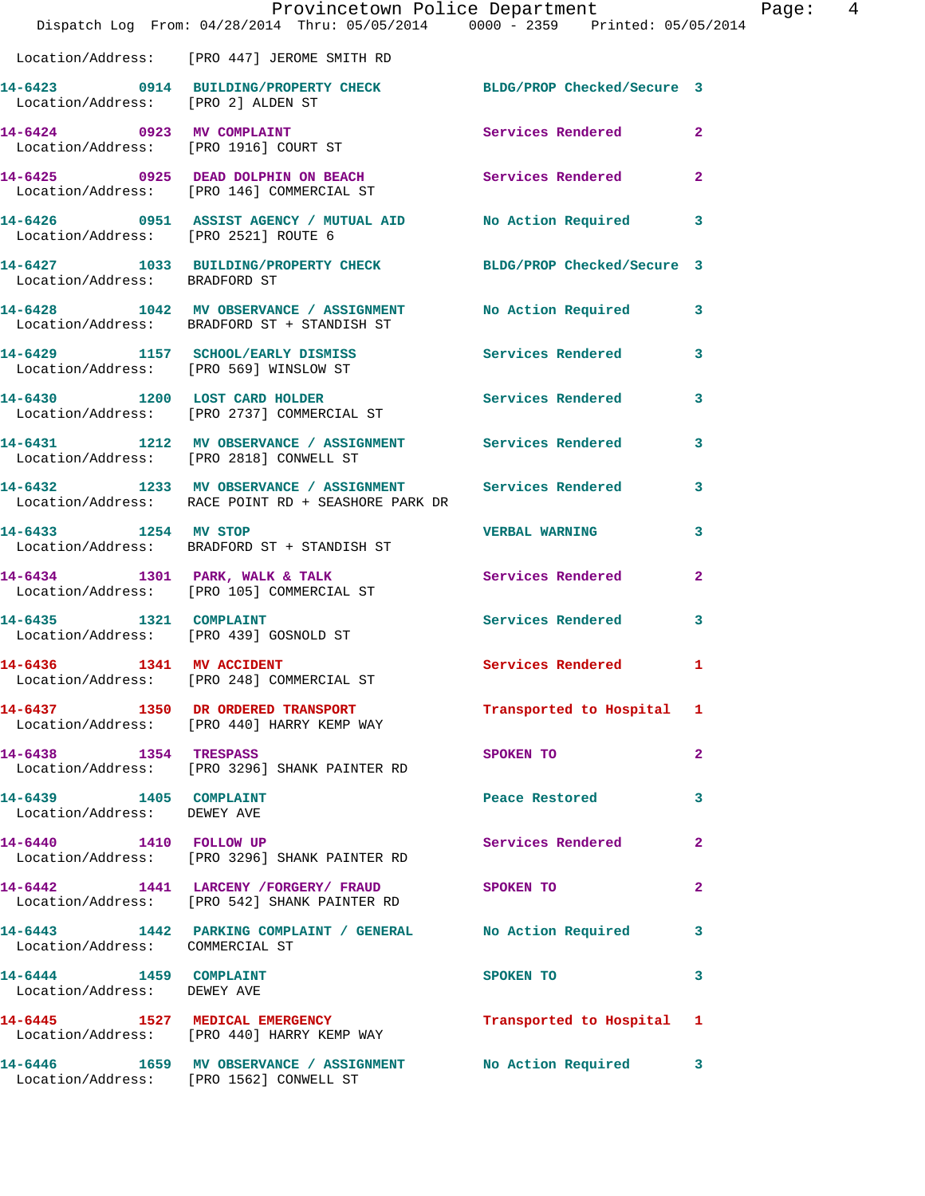|                                                       | Dispatch Log From: 04/28/2014 Thru: 05/05/2014 0000 - 2359 Printed: 05/05/2014                                    | Provincetown Police Department Page: 4                                                                         |                |  |
|-------------------------------------------------------|-------------------------------------------------------------------------------------------------------------------|----------------------------------------------------------------------------------------------------------------|----------------|--|
|                                                       | Location/Address: [PRO 447] JEROME SMITH RD                                                                       |                                                                                                                |                |  |
| Location/Address: [PRO 2] ALDEN ST                    | 14-6423 0914 BUILDING/PROPERTY CHECK BLDG/PROP Checked/Secure 3                                                   |                                                                                                                |                |  |
|                                                       | 14-6424 0923 MV COMPLAINT<br>Location/Address: [PRO 1916] COURT ST                                                | <b>Services Rendered</b>                                                                                       | $\mathbf{2}$   |  |
|                                                       | 14-6425 0925 DEAD DOLPHIN ON BEACH Services Rendered<br>Location/Address: [PRO 146] COMMERCIAL ST                 |                                                                                                                | $\overline{2}$ |  |
| Location/Address: [PRO 2521] ROUTE 6                  | 14-6426 0951 ASSIST AGENCY / MUTUAL AID No Action Required 3                                                      |                                                                                                                |                |  |
| Location/Address: BRADFORD ST                         | 14-6427 1033 BUILDING/PROPERTY CHECK BLDG/PROP Checked/Secure 3                                                   |                                                                                                                |                |  |
|                                                       | 14-6428 1042 MV OBSERVANCE / ASSIGNMENT No Action Required 3<br>Location/Address: BRADFORD ST + STANDISH ST       |                                                                                                                |                |  |
|                                                       | 14-6429 1157 SCHOOL/EARLY DISMISS Services Rendered<br>Location/Address: [PRO 569] WINSLOW ST                     |                                                                                                                | 3              |  |
|                                                       | 14-6430 1200 LOST CARD HOLDER<br>Location/Address: [PRO 2737] COMMERCIAL ST                                       | <b>Services Rendered</b>                                                                                       | 3              |  |
|                                                       | 14-6431 1212 MV OBSERVANCE / ASSIGNMENT Services Rendered<br>Location/Address: [PRO 2818] CONWELL ST              |                                                                                                                | 3              |  |
|                                                       | 14-6432 1233 MV OBSERVANCE / ASSIGNMENT Services Rendered 3<br>Location/Address: RACE POINT RD + SEASHORE PARK DR |                                                                                                                |                |  |
| 14-6433 1254 MV STOP                                  | Location/Address: BRADFORD ST + STANDISH ST                                                                       | <b>VERBAL WARNING</b>                                                                                          | 3              |  |
|                                                       | 14-6434 1301 PARK, WALK & TALK 1988 Services Rendered<br>Location/Address: [PRO 105] COMMERCIAL ST                |                                                                                                                | $\overline{2}$ |  |
| Location/Address: [PRO 439] GOSNOLD ST                | 14-6435 1321 COMPLAINT                                                                                            | <b>Services Rendered</b>                                                                                       | 3              |  |
| 1341 MV ACCIDENT<br>14-6436                           | Location/Address: [PRO 248] COMMERCIAL ST                                                                         | Services Rendered 1                                                                                            |                |  |
|                                                       | 14-6437 1350 DR ORDERED TRANSPORT<br>Location/Address: [PRO 440] HARRY KEMP WAY                                   | Transported to Hospital 1                                                                                      |                |  |
|                                                       | 14-6438 1354 TRESPASS<br>Location/Address: [PRO 3296] SHANK PAINTER RD                                            | SPOKEN TO                                                                                                      | $\mathbf{2}$   |  |
| 14-6439 1405 COMPLAINT<br>Location/Address: DEWEY AVE |                                                                                                                   | Peace Restored and the set of the set of the set of the set of the set of the set of the set of the set of the | 3              |  |
|                                                       | 14-6440 1410 FOLLOW UP<br>Location/Address: [PRO 3296] SHANK PAINTER RD                                           | Services Rendered                                                                                              | $\mathbf{2}$   |  |
|                                                       | 14-6442 1441 LARCENY / FORGERY / FRAUD SPOKEN TO<br>Location/Address: [PRO 542] SHANK PAINTER RD                  |                                                                                                                | $\mathbf{2}$   |  |
| Location/Address: COMMERCIAL ST                       | 14-6443 1442 PARKING COMPLAINT / GENERAL No Action Required 3                                                     |                                                                                                                |                |  |
| 14-6444 1459 COMPLAINT<br>Location/Address: DEWEY AVE |                                                                                                                   | SPOKEN TO                                                                                                      | 3              |  |
|                                                       | 14-6445 1527 MEDICAL EMERGENCY <b>120 Transported to Hospital</b> 1<br>Location/Address: [PRO 440] HARRY KEMP WAY |                                                                                                                |                |  |
|                                                       | 14-6446 1659 MV OBSERVANCE / ASSIGNMENT<br>Location/Address: [PRO 1562] CONWELL ST                                | No Action Required                                                                                             | 3              |  |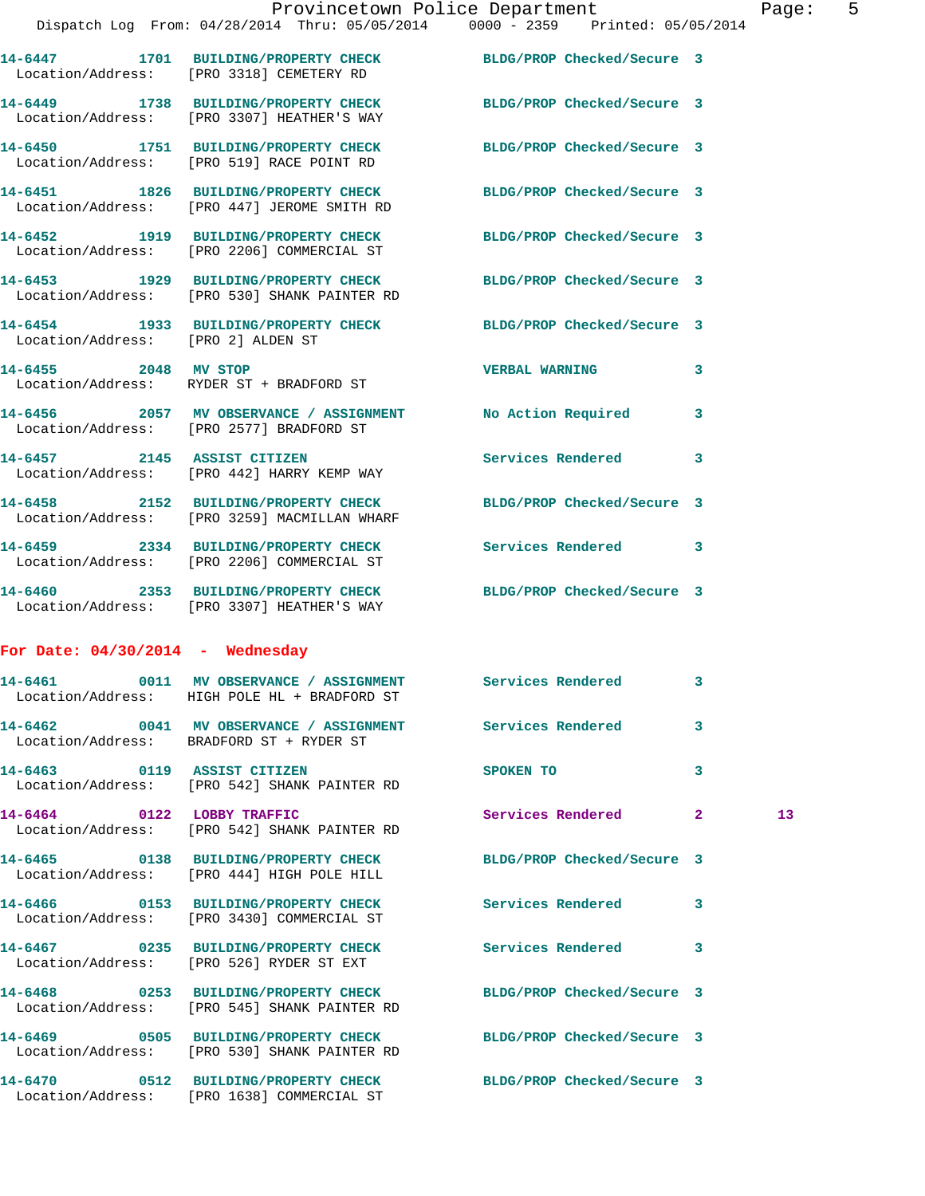**14-6447 1701 BUILDING/PROPERTY CHECK BLDG/PROP Checked/Secure 3** 

**14-6449 1738 BUILDING/PROPERTY CHECK BLDG/PROP Checked/Secure 3**  Location/Address: [PRO 3307] HEATHER'S WAY

Location/Address: [PRO 3318] CEMETERY RD

**14-6450 1751 BUILDING/PROPERTY CHECK BLDG/PROP Checked/Secure 3**  Location/Address: [PRO 519] RACE POINT RD

**14-6451 1826 BUILDING/PROPERTY CHECK BLDG/PROP Checked/Secure 3**  Location/Address: [PRO 447] JEROME SMITH RD

**14-6452 1919 BUILDING/PROPERTY CHECK BLDG/PROP Checked/Secure 3**  Location/Address: [PRO 2206] COMMERCIAL ST

**14-6453 1929 BUILDING/PROPERTY CHECK BLDG/PROP Checked/Secure 3**  Location/Address: [PRO 530] SHANK PAINTER RD

**14-6454 1933 BUILDING/PROPERTY CHECK BLDG/PROP Checked/Secure 3**  Location/Address: [PRO 2] ALDEN ST

Location/Address: RYDER ST + BRADFORD ST

**14-6456 2057 MV OBSERVANCE / ASSIGNMENT No Action Required 3**  Location/Address: [PRO 2577] BRADFORD ST

**14-6457 2145 ASSIST CITIZEN Services Rendered 3**  Location/Address: [PRO 442] HARRY KEMP WAY

**14-6458 2152 BUILDING/PROPERTY CHECK BLDG/PROP Checked/Secure 3**  Location/Address: [PRO 3259] MACMILLAN WHARF

Location/Address: [PRO 2206] COMMERCIAL ST

Location/Address: [PRO 3307] HEATHER'S WAY

**For Date: 04/30/2014 - Wednesday**

**14-6461 0011 MV OBSERVANCE / ASSIGNMENT Services Rendered 3**  Location/Address: HIGH POLE HL + BRADFORD ST **14-6462 0041 MV OBSERVANCE / ASSIGNMENT Services Rendered 3**  Location/Address: BRADFORD ST + RYDER ST **14-6463 0119 ASSIST CITIZEN SPOKEN TO 3**  Location/Address: [PRO 542] SHANK PAINTER RD **14-6464 0122 LOBBY TRAFFIC Services Rendered 2 13**  Location/Address: [PRO 542] SHANK PAINTER RD **14-6465 0138 BUILDING/PROPERTY CHECK BLDG/PROP Checked/Secure 3**  Location/Address: [PRO 444] HIGH POLE HILL **14-6466 0153 BUILDING/PROPERTY CHECK Services Rendered 3**  Location/Address: [PRO 3430] COMMERCIAL ST **14-6467 0235 BUILDING/PROPERTY CHECK Services Rendered 3**  Location/Address: [PRO 526] RYDER ST EXT **14-6468 0253 BUILDING/PROPERTY CHECK BLDG/PROP Checked/Secure 3** 

**14-6469 0505 BUILDING/PROPERTY CHECK BLDG/PROP Checked/Secure 3**  Location/Address: [PRO 530] SHANK PAINTER RD

Location/Address: [PRO 545] SHANK PAINTER RD

**14-6470 0512 BUILDING/PROPERTY CHECK BLDG/PROP Checked/Secure 3**  Location/Address: [PRO 1638] COMMERCIAL ST

**14-6455 2048 MV STOP VERBAL WARNING 3** 

**14-6459 2334 BUILDING/PROPERTY CHECK Services Rendered 3** 

**14-6460 2353 BUILDING/PROPERTY CHECK BLDG/PROP Checked/Secure 3**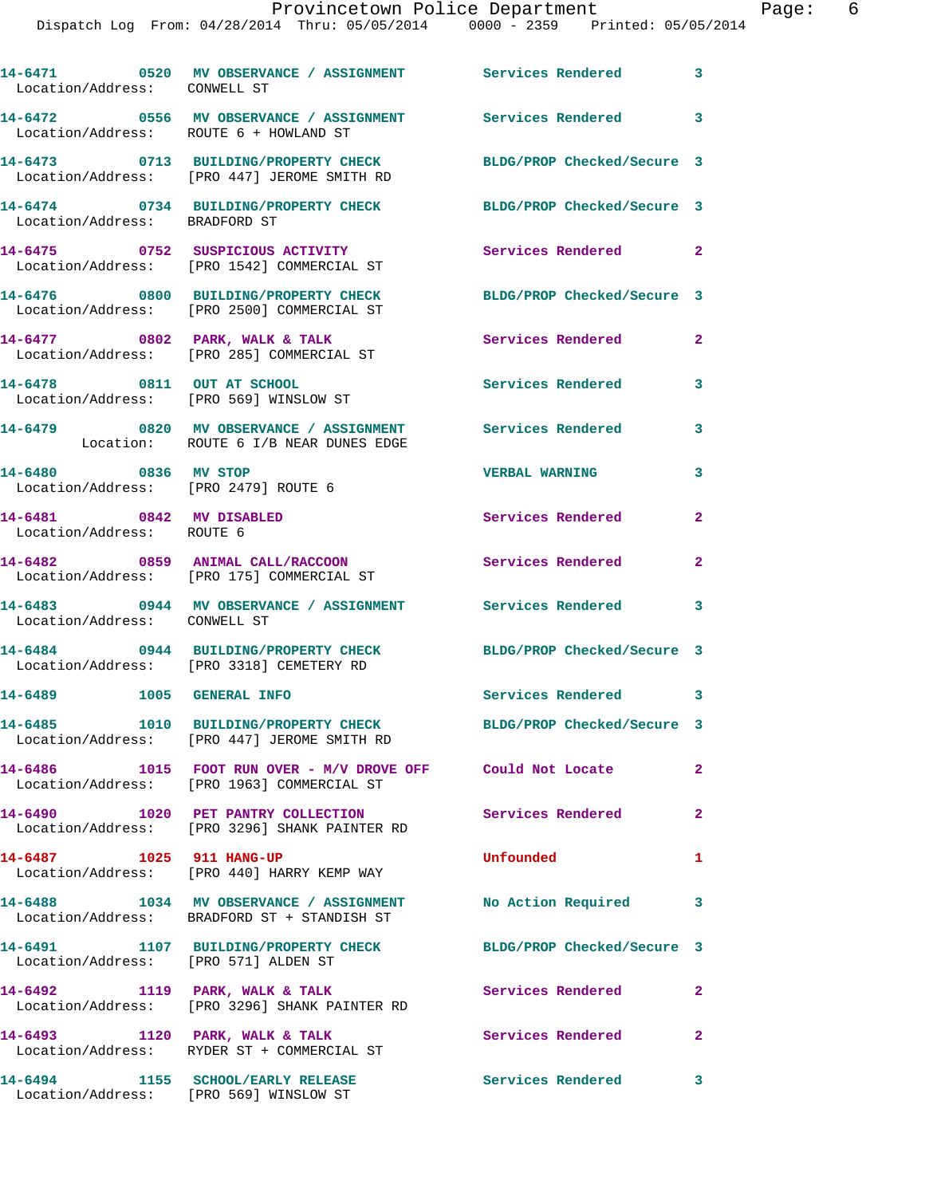| Location/Address: CONWELL ST                                 | 14-6471 0520 MV OBSERVANCE / ASSIGNMENT Services Rendered                                                     |                            | 3            |
|--------------------------------------------------------------|---------------------------------------------------------------------------------------------------------------|----------------------------|--------------|
|                                                              | 14-6472  0556 MV OBSERVANCE / ASSIGNMENT Services Rendered<br>Location/Address: ROUTE 6 + HOWLAND ST          |                            | $\mathbf{3}$ |
|                                                              | 14-6473 0713 BUILDING/PROPERTY CHECK<br>Location/Address: [PRO 447] JEROME SMITH RD                           | BLDG/PROP Checked/Secure 3 |              |
| Location/Address: BRADFORD ST                                | 14-6474 0734 BUILDING/PROPERTY CHECK                                                                          | BLDG/PROP Checked/Secure 3 |              |
|                                                              | 14-6475 0752 SUSPICIOUS ACTIVITY<br>Location/Address: [PRO 1542] COMMERCIAL ST                                | <b>Services Rendered</b> 2 |              |
|                                                              | 14-6476 0800 BUILDING/PROPERTY CHECK BLDG/PROP Checked/Secure 3<br>Location/Address: [PRO 2500] COMMERCIAL ST |                            |              |
|                                                              | 14-6477 0802 PARK, WALK & TALK<br>Location/Address: [PRO 285] COMMERCIAL ST                                   | Services Rendered          | $\mathbf{2}$ |
|                                                              | 14-6478 0811 OUT AT SCHOOL<br>Location/Address: [PRO 569] WINSLOW ST                                          | Services Rendered          | 3            |
|                                                              | 14-6479 0820 MV OBSERVANCE / ASSIGNMENT Services Rendered<br>Location: ROUTE 6 I/B NEAR DUNES EDGE            |                            | 3            |
| 14-6480 0836 MV STOP<br>Location/Address: [PRO 2479] ROUTE 6 |                                                                                                               | <b>VERBAL WARNING</b>      | 3            |
| 14-6481 0842 MV DISABLED<br>Location/Address: ROUTE 6        |                                                                                                               | Services Rendered          | 2            |
|                                                              | 14-6482 0859 ANIMAL CALL/RACCOON<br>Location/Address: [PRO 175] COMMERCIAL ST                                 | Services Rendered          | 2            |
| Location/Address: CONWELL ST                                 | 14-6483 0944 MV OBSERVANCE / ASSIGNMENT                                                                       | <b>Services Rendered</b>   | 3            |
|                                                              | 14-6484 0944 BUILDING/PROPERTY CHECK<br>Location/Address: [PRO 3318] CEMETERY RD                              | BLDG/PROP Checked/Secure 3 |              |
| 14-6489 1005 GENERAL INFO                                    |                                                                                                               | Services Rendered          | 3            |
|                                                              | 14-6485 1010 BUILDING/PROPERTY CHECK<br>Location/Address: [PRO 447] JEROME SMITH RD                           | BLDG/PROP Checked/Secure 3 |              |
|                                                              | 14-6486 1015 FOOT RUN OVER - M/V DROVE OFF Could Not Locate<br>Location/Address: [PRO 1963] COMMERCIAL ST     |                            | $\mathbf{2}$ |
|                                                              | 14-6490 1020 PET PANTRY COLLECTION<br>Location/Address: [PRO 3296] SHANK PAINTER RD                           | Services Rendered          | $\mathbf{2}$ |
| 14-6487 1025 911 HANG-UP                                     | Location/Address: [PRO 440] HARRY KEMP WAY                                                                    | Unfounded                  | 1            |
|                                                              | 14-6488 1034 MV OBSERVANCE / ASSIGNMENT No Action Required 3<br>Location/Address: BRADFORD ST + STANDISH ST   |                            |              |
| Location/Address: [PRO 571] ALDEN ST                         | 14-6491 1107 BUILDING/PROPERTY CHECK                                                                          | BLDG/PROP Checked/Secure 3 |              |
|                                                              | 14-6492 1119 PARK, WALK & TALK<br>Location/Address: [PRO 3296] SHANK PAINTER RD                               | Services Rendered          | 2            |
| 14-6493 1120 PARK, WALK & TALK                               | Location/Address: RYDER ST + COMMERCIAL ST                                                                    | Services Rendered          | 2            |
|                                                              | 14-6494 1155 SCHOOL/EARLY RELEASE<br>Location/Address: [PRO 569] WINSLOW ST                                   | <b>Services Rendered</b>   | 3            |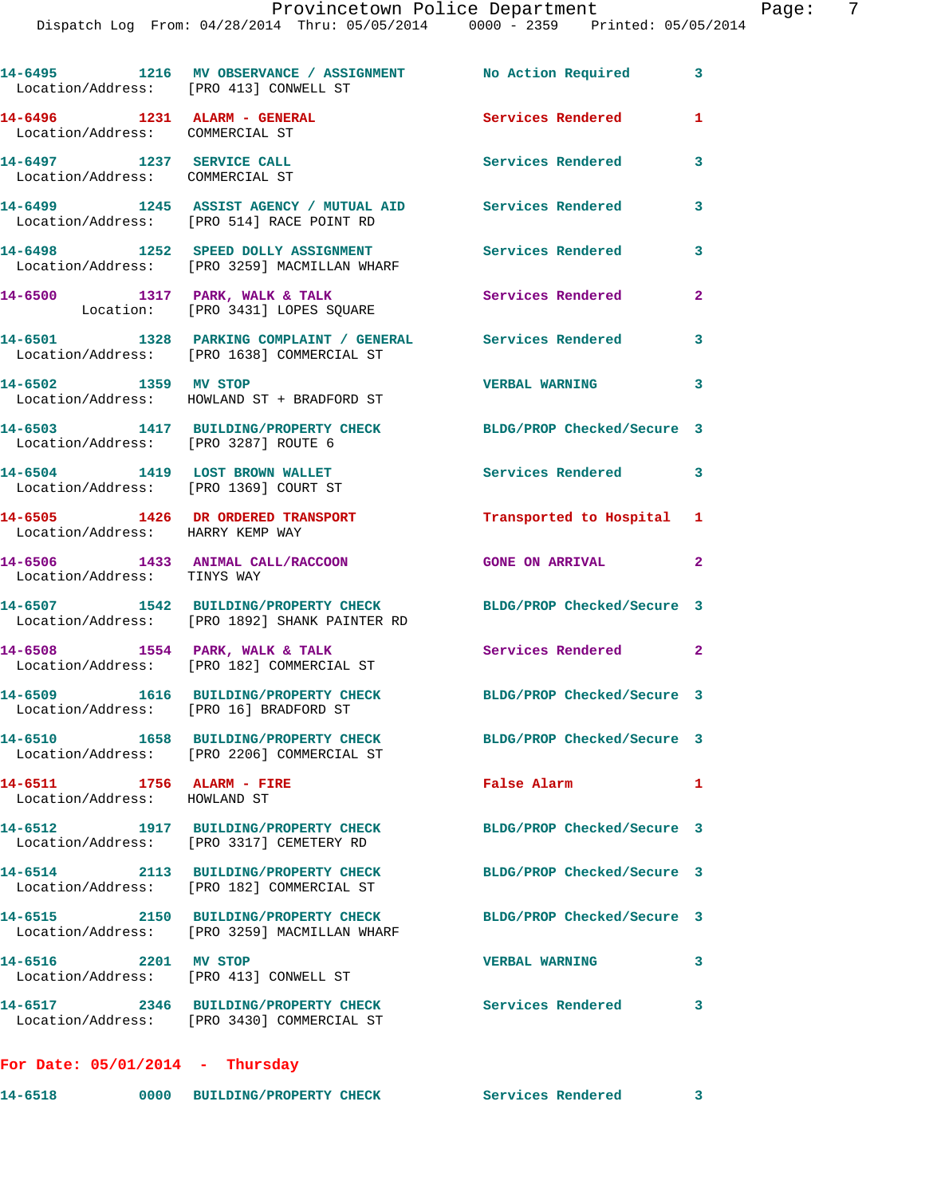| Location/Address: [PRO 413] CONWELL ST                          | 14-6495 1216 MV OBSERVANCE / ASSIGNMENT No Action Required 3                                                     |                            |              |
|-----------------------------------------------------------------|------------------------------------------------------------------------------------------------------------------|----------------------------|--------------|
| 14-6496 1231 ALARM - GENERAL<br>Location/Address: COMMERCIAL ST |                                                                                                                  | Services Rendered          | 1            |
| 14-6497 1237 SERVICE CALL<br>Location/Address: COMMERCIAL ST    |                                                                                                                  | Services Rendered          | 3            |
|                                                                 | 14-6499 1245 ASSIST AGENCY / MUTUAL AID<br>Location/Address: [PRO 514] RACE POINT RD                             | Services Rendered          | 3            |
|                                                                 | 14-6498 1252 SPEED DOLLY ASSIGNMENT<br>Location/Address: [PRO 3259] MACMILLAN WHARF                              | Services Rendered          | 3            |
|                                                                 | 14-6500 1317 PARK, WALK & TALK<br>Location: [PRO 3431] LOPES SQUARE                                              | Services Rendered          | $\mathbf{2}$ |
|                                                                 | 14-6501 1328 PARKING COMPLAINT / GENERAL Services Rendered<br>Location/Address: [PRO 1638] COMMERCIAL ST         |                            | 3            |
| 14-6502 1359 MV STOP                                            | Location/Address: HOWLAND ST + BRADFORD ST                                                                       | <b>VERBAL WARNING</b>      | 3            |
| Location/Address: [PRO 3287] ROUTE 6                            | 14-6503 1417 BUILDING/PROPERTY CHECK                                                                             | BLDG/PROP Checked/Secure 3 |              |
| 14-6504 1419 LOST BROWN WALLET                                  | Location/Address: [PRO 1369] COURT ST                                                                            | Services Rendered 3        |              |
| Location/Address: HARRY KEMP WAY                                | 14-6505 1426 DR ORDERED TRANSPORT                                                                                | Transported to Hospital 1  |              |
| Location/Address: TINYS WAY                                     | 14-6506 1433 ANIMAL CALL/RACCOON                                                                                 | GONE ON ARRIVAL 2          |              |
|                                                                 | 14-6507 1542 BUILDING/PROPERTY CHECK BLDG/PROP Checked/Secure 3<br>Location/Address: [PRO 1892] SHANK PAINTER RD |                            |              |
| 14-6508 1554 PARK, WALK & TALK                                  | Location/Address: [PRO 182] COMMERCIAL ST                                                                        | Services Rendered 2        |              |
|                                                                 | 14-6509 1616 BUILDING/PROPERTY CHECK<br>Location/Address: [PRO 16] BRADFORD ST                                   | BLDG/PROP Checked/Secure 3 |              |
|                                                                 | 14-6510 1658 BUILDING/PROPERTY CHECK<br>Location/Address: [PRO 2206] COMMERCIAL ST                               | BLDG/PROP Checked/Secure 3 |              |
| 14-6511 1756 ALARM - FIRE<br>Location/Address: HOWLAND ST       |                                                                                                                  | <b>False Alarm</b>         | 1            |
| 14-6512                                                         | 1917 BUILDING/PROPERTY CHECK<br>Location/Address: [PRO 3317] CEMETERY RD                                         | BLDG/PROP Checked/Secure 3 |              |
|                                                                 | 14-6514 2113 BUILDING/PROPERTY CHECK<br>Location/Address: [PRO 182] COMMERCIAL ST                                | BLDG/PROP Checked/Secure 3 |              |
|                                                                 | 14-6515 2150 BUILDING/PROPERTY CHECK<br>Location/Address: [PRO 3259] MACMILLAN WHARF                             | BLDG/PROP Checked/Secure 3 |              |
| 14-6516 2201 MV STOP<br>Location/Address: [PRO 413] CONWELL ST  |                                                                                                                  | <b>VERBAL WARNING</b>      | 3            |
|                                                                 | 14-6517 2346 BUILDING/PROPERTY CHECK Services Rendered<br>Location/Address: [PRO 3430] COMMERCIAL ST             |                            | 3            |
| For Date: $05/01/2014$ - Thursday                               |                                                                                                                  |                            |              |
|                                                                 |                                                                                                                  |                            |              |

**14-6518 0000 BUILDING/PROPERTY CHECK Services Rendered 3**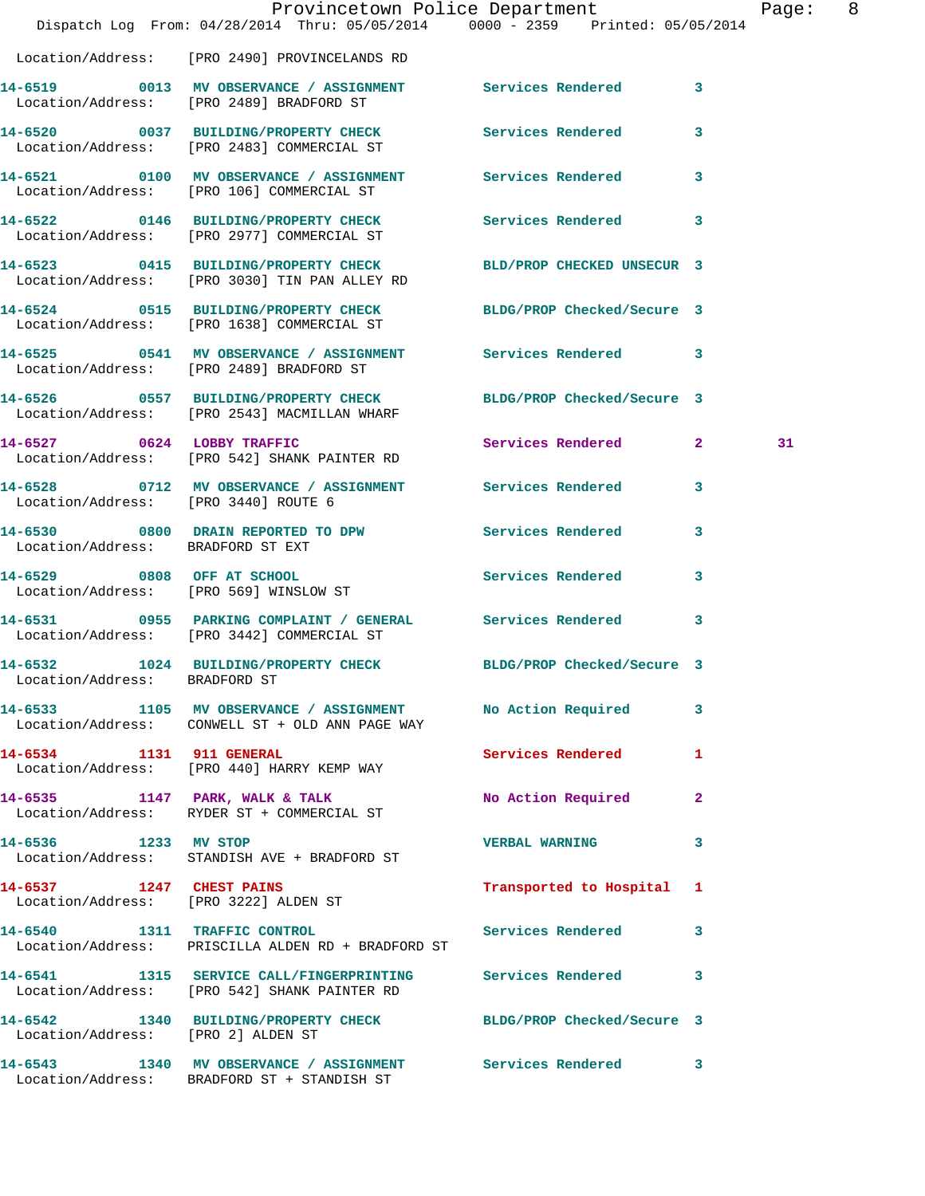|                                          | Dispatch Log From: 04/28/2014 Thru: 05/05/2014 0000 - 2359 Printed: 05/05/2014                                  | Provincetown Police Department |              | Page: 8 |  |
|------------------------------------------|-----------------------------------------------------------------------------------------------------------------|--------------------------------|--------------|---------|--|
|                                          | Location/Address: [PRO 2490] PROVINCELANDS RD                                                                   |                                |              |         |  |
|                                          | 14-6519 0013 MV OBSERVANCE / ASSIGNMENT Services Rendered 3<br>Location/Address: [PRO 2489] BRADFORD ST         |                                |              |         |  |
|                                          | 14-6520 0037 BUILDING/PROPERTY CHECK Services Rendered 3<br>Location/Address: [PRO 2483] COMMERCIAL ST          |                                |              |         |  |
|                                          | 14-6521 0100 MV OBSERVANCE / ASSIGNMENT Services Rendered 3<br>Location/Address: [PRO 106] COMMERCIAL ST        |                                |              |         |  |
|                                          | 14-6522 0146 BUILDING/PROPERTY CHECK<br>Location/Address: [PRO 2977] COMMERCIAL ST                              | Services Rendered 3            |              |         |  |
|                                          | 14-6523 0415 BUILDING/PROPERTY CHECK<br>Location/Address: [PRO 3030] TIN PAN ALLEY RD                           | BLD/PROP CHECKED UNSECUR 3     |              |         |  |
|                                          | 14-6524 0515 BUILDING/PROPERTY CHECK BLDG/PROP Checked/Secure 3<br>Location/Address: [PRO 1638] COMMERCIAL ST   |                                |              |         |  |
|                                          | 14-6525 0541 MV OBSERVANCE / ASSIGNMENT Services Rendered 3<br>Location/Address: [PRO 2489] BRADFORD ST         |                                |              |         |  |
|                                          | 14-6526 0557 BUILDING/PROPERTY CHECK BLDG/PROP Checked/Secure 3<br>Location/Address: [PRO 2543] MACMILLAN WHARF |                                |              |         |  |
|                                          | 14-6527 0624 LOBBY TRAFFIC<br>Location/Address: [PRO 542] SHANK PAINTER RD                                      | Services Rendered 2            |              | 31      |  |
| Location/Address: [PRO 3440] ROUTE 6     | 14-6528 0712 MV OBSERVANCE / ASSIGNMENT Services Rendered 3                                                     |                                |              |         |  |
| Location/Address: BRADFORD ST EXT        | 14-6530 0800 DRAIN REPORTED TO DPW Services Rendered                                                            |                                | 3            |         |  |
| 14-6529 0808 OFF AT SCHOOL               | Location/Address: [PRO 569] WINSLOW ST                                                                          | Services Rendered 3            |              |         |  |
|                                          | 14-6531 0955 PARKING COMPLAINT / GENERAL Services Rendered 3<br>Location/Address: [PRO 3442] COMMERCIAL ST      |                                |              |         |  |
| 14-6532<br>Location/Address: BRADFORD ST | 1024 BUILDING/PROPERTY CHECK BLDG/PROP Checked/Secure 3                                                         |                                |              |         |  |
|                                          | 14-6533 1105 MV OBSERVANCE / ASSIGNMENT No Action Required<br>Location/Address: CONWELL ST + OLD ANN PAGE WAY   |                                | -3           |         |  |
| 14-6534 1131 911 GENERAL                 | Location/Address: [PRO 440] HARRY KEMP WAY                                                                      | <b>Services Rendered</b>       | $\mathbf{1}$ |         |  |
|                                          | 14-6535 1147 PARK, WALK & TALK<br>Location/Address: RYDER ST + COMMERCIAL ST                                    | No Action Required             | $\mathbf{2}$ |         |  |
| 14-6536 1233 MV STOP                     | Location/Address: STANDISH AVE + BRADFORD ST                                                                    | <b>VERBAL WARNING</b>          | 3            |         |  |
|                                          | 14-6537 1247 CHEST PAINS<br>Location/Address: [PRO 3222] ALDEN ST                                               | Transported to Hospital 1      |              |         |  |
|                                          | 14-6540 1311 TRAFFIC CONTROL Services Rendered 3<br>Location/Address: PRISCILLA ALDEN RD + BRADFORD ST          |                                |              |         |  |
|                                          | 14-6541 1315 SERVICE CALL/FINGERPRINTING Services Rendered<br>Location/Address: [PRO 542] SHANK PAINTER RD      |                                | 3            |         |  |
| Location/Address: [PRO 2] ALDEN ST       | 14-6542 1340 BUILDING/PROPERTY CHECK BLDG/PROP Checked/Secure 3                                                 |                                |              |         |  |
|                                          | 14-6543 1340 MV OBSERVANCE / ASSIGNMENT Services Rendered 3<br>Location/Address: BRADFORD ST + STANDISH ST      |                                |              |         |  |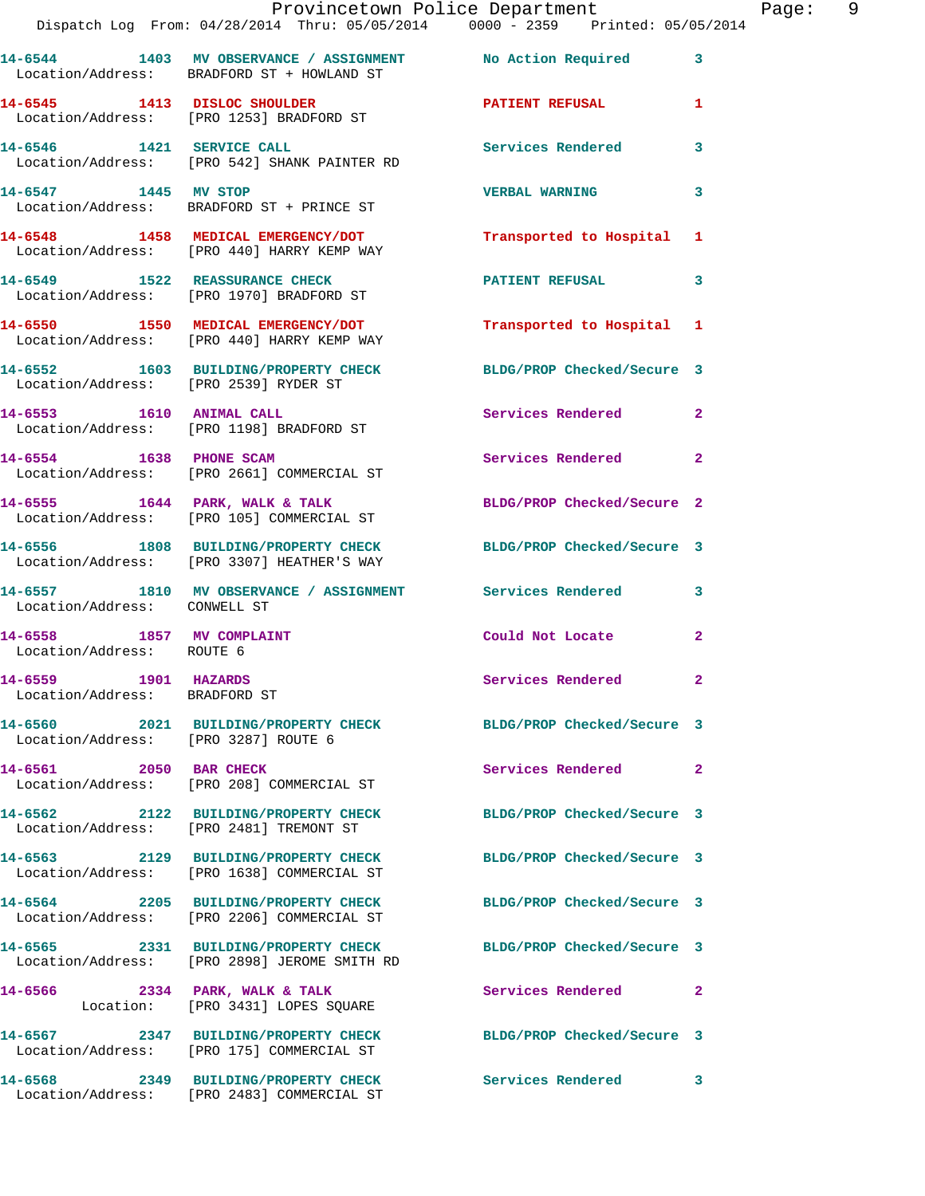|                                                       | Dispatch Log From: 04/28/2014 Thru: 05/05/2014 0000 - 2359 Printed: 05/05/2014                                  | Provincetown Police Department | Page: 9      |
|-------------------------------------------------------|-----------------------------------------------------------------------------------------------------------------|--------------------------------|--------------|
|                                                       | 14-6544 1403 MV OBSERVANCE / ASSIGNMENT No Action Required 3<br>Location/Address: BRADFORD ST + HOWLAND ST      |                                |              |
|                                                       | 14-6545 1413 DISLOC SHOULDER PATIENT REFUSAL<br>Location/Address: [PRO 1253] BRADFORD ST                        |                                | $\mathbf{1}$ |
|                                                       | 14-6546 1421 SERVICE CALL<br>Location/Address: [PRO 542] SHANK PAINTER RD                                       | Services Rendered 3            |              |
| 14-6547 1445 MV STOP                                  | Location/Address: BRADFORD ST + PRINCE ST                                                                       | <b>VERBAL WARNING</b>          | 3            |
|                                                       | 14-6548 1458 MEDICAL EMERGENCY/DOT<br>Location/Address: [PRO 440] HARRY KEMP WAY                                | Transported to Hospital 1      |              |
|                                                       | 14-6549 1522 REASSURANCE CHECK<br>Location/Address: [PRO 1970] BRADFORD ST                                      | PATIENT REFUSAL 3              |              |
|                                                       | 14-6550 1550 MEDICAL EMERGENCY/DOT<br>Location/Address: [PRO 440] HARRY KEMP WAY                                | Transported to Hospital 1      |              |
| Location/Address: [PRO 2539] RYDER ST                 | 14-6552 1603 BUILDING/PROPERTY CHECK BLDG/PROP Checked/Secure 3                                                 |                                |              |
|                                                       | 14-6553 1610 ANIMAL CALL<br>Location/Address: [PRO 1198] BRADFORD ST                                            | Services Rendered 2            |              |
|                                                       | 14-6554 1638 PHONE SCAM<br>Location/Address: [PRO 2661] COMMERCIAL ST                                           | Services Rendered 2            |              |
|                                                       | 14-6555 1644 PARK, WALK & TALK BLDG/PROP Checked/Secure 2<br>Location/Address: [PRO 105] COMMERCIAL ST          |                                |              |
|                                                       | 14-6556 1808 BUILDING/PROPERTY CHECK BLDG/PROP Checked/Secure 3<br>Location/Address: [PRO 3307] HEATHER'S WAY   |                                |              |
| Location/Address: CONWELL ST                          | 14-6557 1810 MV OBSERVANCE / ASSIGNMENT Services Rendered 3                                                     |                                |              |
| Location/Address: ROUTE 6                             | 14-6558 1857 MV COMPLAINT                                                                                       | Could Not Locate 2             |              |
| 14-6559 1901 HAZARDS<br>Location/Address: BRADFORD ST |                                                                                                                 | <b>Services Rendered</b>       |              |
| Location/Address: [PRO 3287] ROUTE 6                  | 14-6560 2021 BUILDING/PROPERTY CHECK BLDG/PROP Checked/Secure 3                                                 |                                |              |
| 14-6561 2050 BAR CHECK                                | Location/Address: [PRO 208] COMMERCIAL ST                                                                       | Services Rendered 2            |              |
|                                                       | 14-6562 2122 BUILDING/PROPERTY CHECK<br>Location/Address: [PRO 2481] TREMONT ST                                 | BLDG/PROP Checked/Secure 3     |              |
|                                                       | 14-6563 2129 BUILDING/PROPERTY CHECK<br>Location/Address: [PRO 1638] COMMERCIAL ST                              | BLDG/PROP Checked/Secure 3     |              |
|                                                       | 14-6564 2205 BUILDING/PROPERTY CHECK<br>Location/Address: [PRO 2206] COMMERCIAL ST                              | BLDG/PROP Checked/Secure 3     |              |
|                                                       | 14-6565 2331 BUILDING/PROPERTY CHECK BLDG/PROP Checked/Secure 3<br>Location/Address: [PRO 2898] JEROME SMITH RD |                                |              |
|                                                       | 14-6566 2334 PARK, WALK & TALK<br>Location: [PRO 3431] LOPES SQUARE                                             | Services Rendered 2            |              |
|                                                       | 14-6567 2347 BUILDING/PROPERTY CHECK BLDG/PROP Checked/Secure 3<br>Location/Address: [PRO 175] COMMERCIAL ST    |                                |              |
|                                                       | 14-6568 2349 BUILDING/PROPERTY CHECK Services Rendered 3<br>Location/Address: [PRO 2483] COMMERCIAL ST          |                                |              |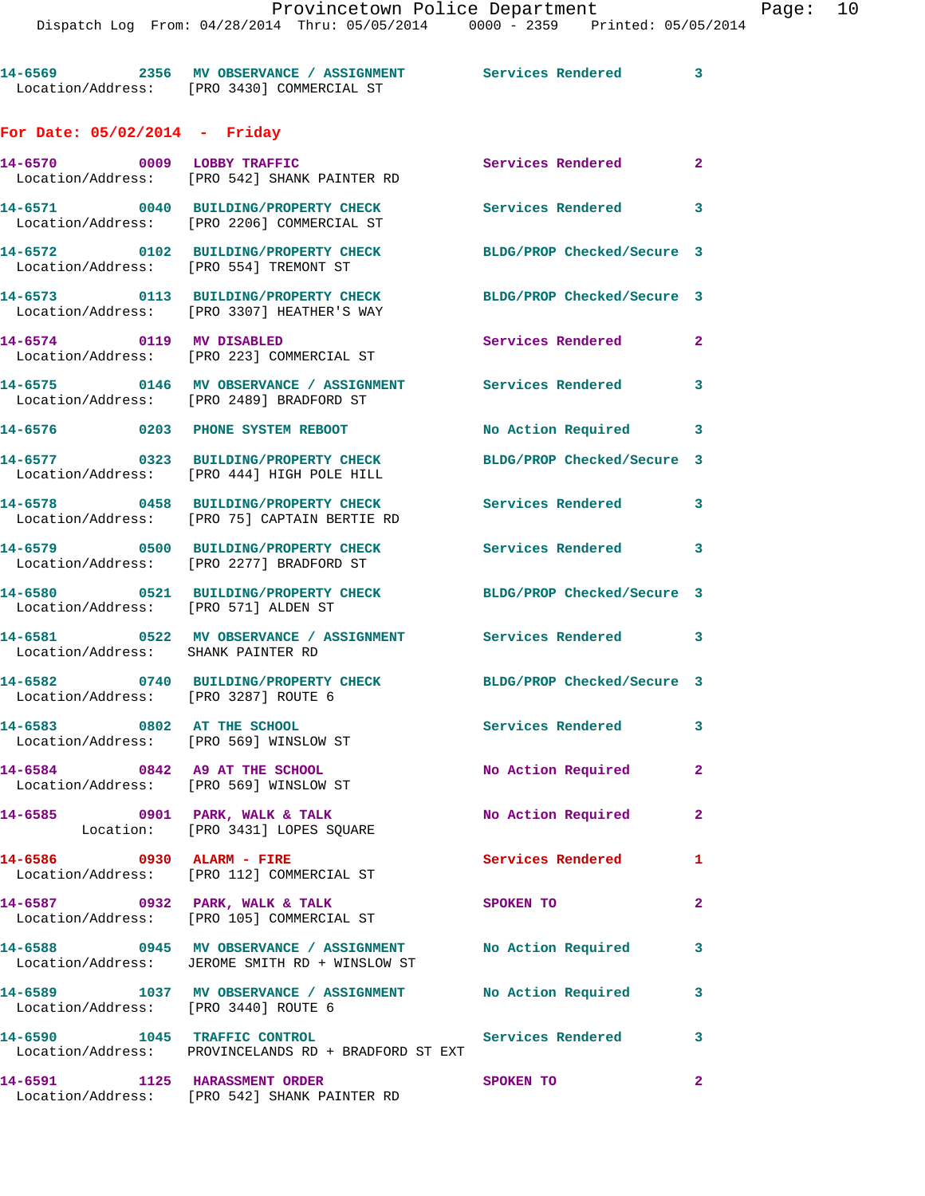**14-6569 2356 MV OBSERVANCE / ASSIGNMENT Services Rendered 3**  Location/Address: [PRO 3430] COMMERCIAL ST **For Date: 05/02/2014 - Friday 14-6570 0009 LOBBY TRAFFIC Services Rendered 2**  Location/Address: [PRO 542] SHANK PAINTER RD **14-6571 0040 BUILDING/PROPERTY CHECK Services Rendered 3**  Location/Address: [PRO 2206] COMMERCIAL ST **14-6572 0102 BUILDING/PROPERTY CHECK BLDG/PROP Checked/Secure 3**  Location/Address: [PRO 554] TREMONT ST **14-6573 0113 BUILDING/PROPERTY CHECK BLDG/PROP Checked/Secure 3**  Location/Address: [PRO 3307] HEATHER'S WAY **14-6574 0119 MV DISABLED Services Rendered 2**  Location/Address: [PRO 223] COMMERCIAL ST **14-6575 0146 MV OBSERVANCE / ASSIGNMENT Services Rendered 3**  Location/Address: [PRO 2489] BRADFORD ST **14-6576 0203 PHONE SYSTEM REBOOT No Action Required 3 14-6577 0323 BUILDING/PROPERTY CHECK BLDG/PROP Checked/Secure 3**  Location/Address: [PRO 444] HIGH POLE HILL **14-6578 0458 BUILDING/PROPERTY CHECK Services Rendered 3**  Location/Address: [PRO 75] CAPTAIN BERTIE RD **14-6579 0500 BUILDING/PROPERTY CHECK Services Rendered 3**  Location/Address: [PRO 2277] BRADFORD ST **14-6580 0521 BUILDING/PROPERTY CHECK BLDG/PROP Checked/Secure 3**  Location/Address: [PRO 571] ALDEN ST **14-6581 0522 MV OBSERVANCE / ASSIGNMENT Services Rendered 3**  Location/Address: SHANK PAINTER RD **14-6582 0740 BUILDING/PROPERTY CHECK BLDG/PROP Checked/Secure 3**  Location/Address: [PRO 3287] ROUTE 6 **14-6583 0802 AT THE SCHOOL Services Rendered 3**  Location/Address: [PRO 569] WINSLOW ST **14-6584 0842 A9 AT THE SCHOOL No Action Required 2**  Location/Address: [PRO 569] WINSLOW ST **14-6585 0901 PARK, WALK & TALK No Action Required 2**  Location: [PRO 3431] LOPES SQUARE **14-6586 0930 ALARM - FIRE Services Rendered 1**  Location/Address: [PRO 112] COMMERCIAL ST **14-6587 0932 PARK, WALK & TALK SPOKEN TO 2**  Location/Address: [PRO 105] COMMERCIAL ST **14-6588 0945 MV OBSERVANCE / ASSIGNMENT No Action Required 3**  Location/Address: JEROME SMITH RD + WINSLOW ST **14-6589 1037 MV OBSERVANCE / ASSIGNMENT No Action Required 3**  Location/Address: [PRO 3440] ROUTE 6 **14-6590 1045 TRAFFIC CONTROL Services Rendered 3**  Location/Address: PROVINCELANDS RD + BRADFORD ST EXT **14-6591 1125 HARASSMENT ORDER SPOKEN TO 2**  Location/Address: [PRO 542] SHANK PAINTER RD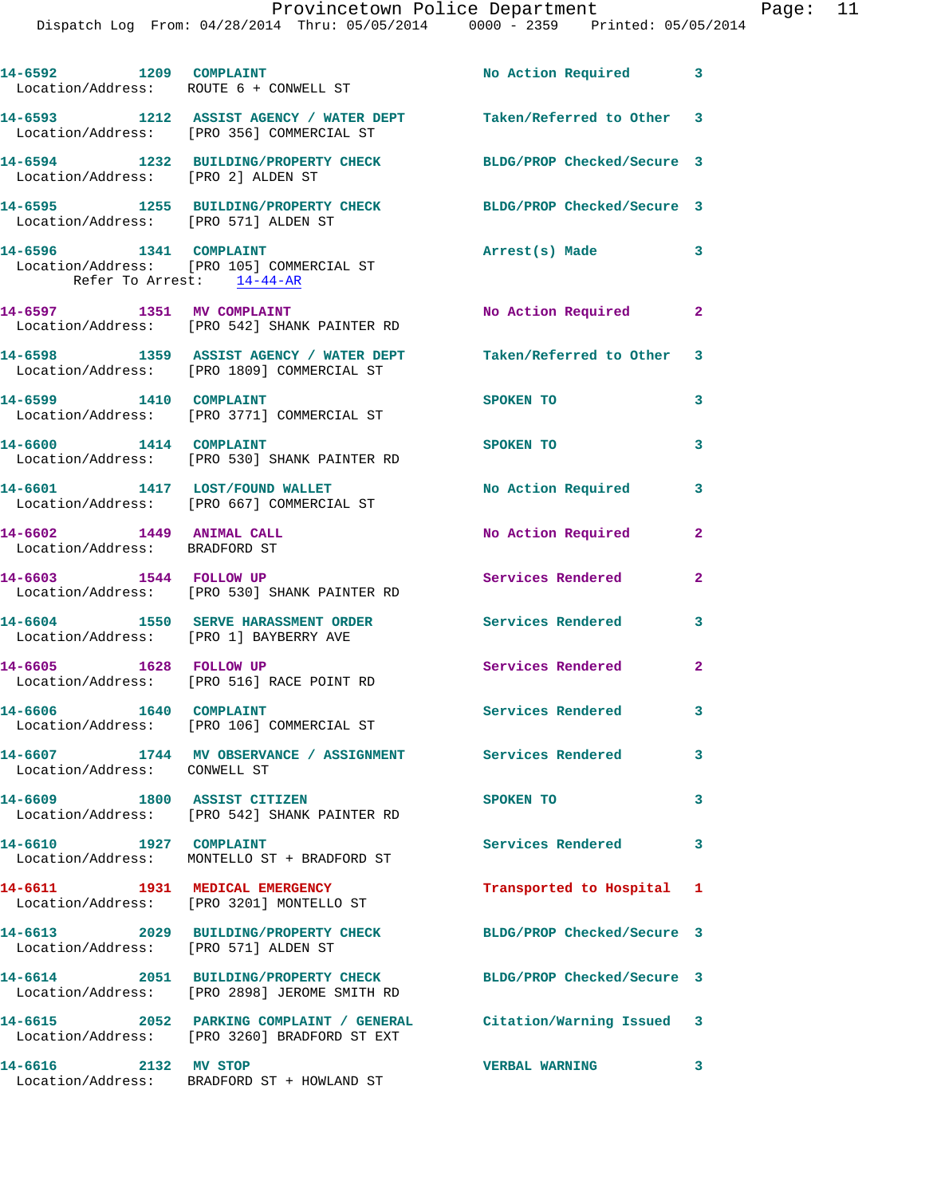| 14-6592 1209 COMPLAINT<br>Location/Address: ROUTE 6 + CONWELL ST |                                                                                                                    | No Action Required 3       |                            |
|------------------------------------------------------------------|--------------------------------------------------------------------------------------------------------------------|----------------------------|----------------------------|
|                                                                  | 14-6593 1212 ASSIST AGENCY / WATER DEPT<br>Location/Address: [PRO 356] COMMERCIAL ST                               | Taken/Referred to Other 3  |                            |
| Location/Address: [PRO 2] ALDEN ST                               | 14-6594 1232 BUILDING/PROPERTY CHECK                                                                               | BLDG/PROP Checked/Secure 3 |                            |
| Location/Address: [PRO 571] ALDEN ST                             | 14-6595 1255 BUILDING/PROPERTY CHECK                                                                               | BLDG/PROP Checked/Secure 3 |                            |
| 14-6596 1341 COMPLAINT<br>Refer To Arrest: 14-44-AR              | Location/Address: [PRO 105] COMMERCIAL ST                                                                          | Arrest(s) Made 3           |                            |
| 14-6597 1351 MV COMPLAINT                                        | Location/Address: [PRO 542] SHANK PAINTER RD                                                                       | No Action Required 2       |                            |
|                                                                  | 14-6598 1359 ASSIST AGENCY / WATER DEPT<br>Location/Address: [PRO 1809] COMMERCIAL ST                              | Taken/Referred to Other 3  |                            |
| 14-6599 1410 COMPLAINT                                           | Location/Address: [PRO 3771] COMMERCIAL ST                                                                         | SPOKEN TO                  | 3                          |
| 14-6600 1414 COMPLAINT                                           | Location/Address: [PRO 530] SHANK PAINTER RD                                                                       | SPOKEN TO                  | 3                          |
|                                                                  | 14-6601 1417 LOST/FOUND WALLET<br>Location/Address: [PRO 667] COMMERCIAL ST                                        | No Action Required         | 3                          |
| 14-6602 1449 ANIMAL CALL<br>Location/Address: BRADFORD ST        |                                                                                                                    | No Action Required         | $\mathbf{2}$               |
| 14-6603 1544 FOLLOW UP                                           | Location/Address: [PRO 530] SHANK PAINTER RD                                                                       | Services Rendered          | $\mathbf{2}$               |
| Location/Address: [PRO 1] BAYBERRY AVE                           | 14-6604 1550 SERVE HARASSMENT ORDER                                                                                | <b>Services Rendered</b> 3 |                            |
| 14-6605 1628 FOLLOW UP                                           | Location/Address: [PRO 516] RACE POINT RD                                                                          | Services Rendered          | $\mathbf{2}$               |
| 1640 COMPLAINT<br>14-6606                                        | Location/Address: [PRO 106] COMMERCIAL ST                                                                          | Services Rendered 3        |                            |
| Location/Address: CONWELL ST                                     | 14-6607 1744 MV OBSERVANCE / ASSIGNMENT Services Rendered                                                          |                            | 3                          |
| 14-6609 1800 ASSIST CITIZEN                                      | Location/Address: [PRO 542] SHANK PAINTER RD                                                                       | SPOKEN TO                  | 3                          |
| 14-6610 1927 COMPLAINT                                           | Location/Address: MONTELLO ST + BRADFORD ST                                                                        | Services Rendered          | $\overline{\phantom{a}}$ 3 |
| 14-6611 1931 MEDICAL EMERGENCY                                   | Location/Address: [PRO 3201] MONTELLO ST                                                                           | Transported to Hospital 1  |                            |
| Location/Address: [PRO 571] ALDEN ST                             | 14-6613 2029 BUILDING/PROPERTY CHECK                                                                               | BLDG/PROP Checked/Secure 3 |                            |
|                                                                  | 14-6614 2051 BUILDING/PROPERTY CHECK<br>Location/Address: [PRO 2898] JEROME SMITH RD                               | BLDG/PROP Checked/Secure 3 |                            |
|                                                                  | 14-6615 2052 PARKING COMPLAINT / GENERAL Citation/Warning Issued 3<br>Location/Address: [PRO 3260] BRADFORD ST EXT |                            |                            |
| 14-6616 2132 MV STOP                                             | Location/Address: BRADFORD ST + HOWLAND ST                                                                         | <b>VERBAL WARNING</b>      | 3                          |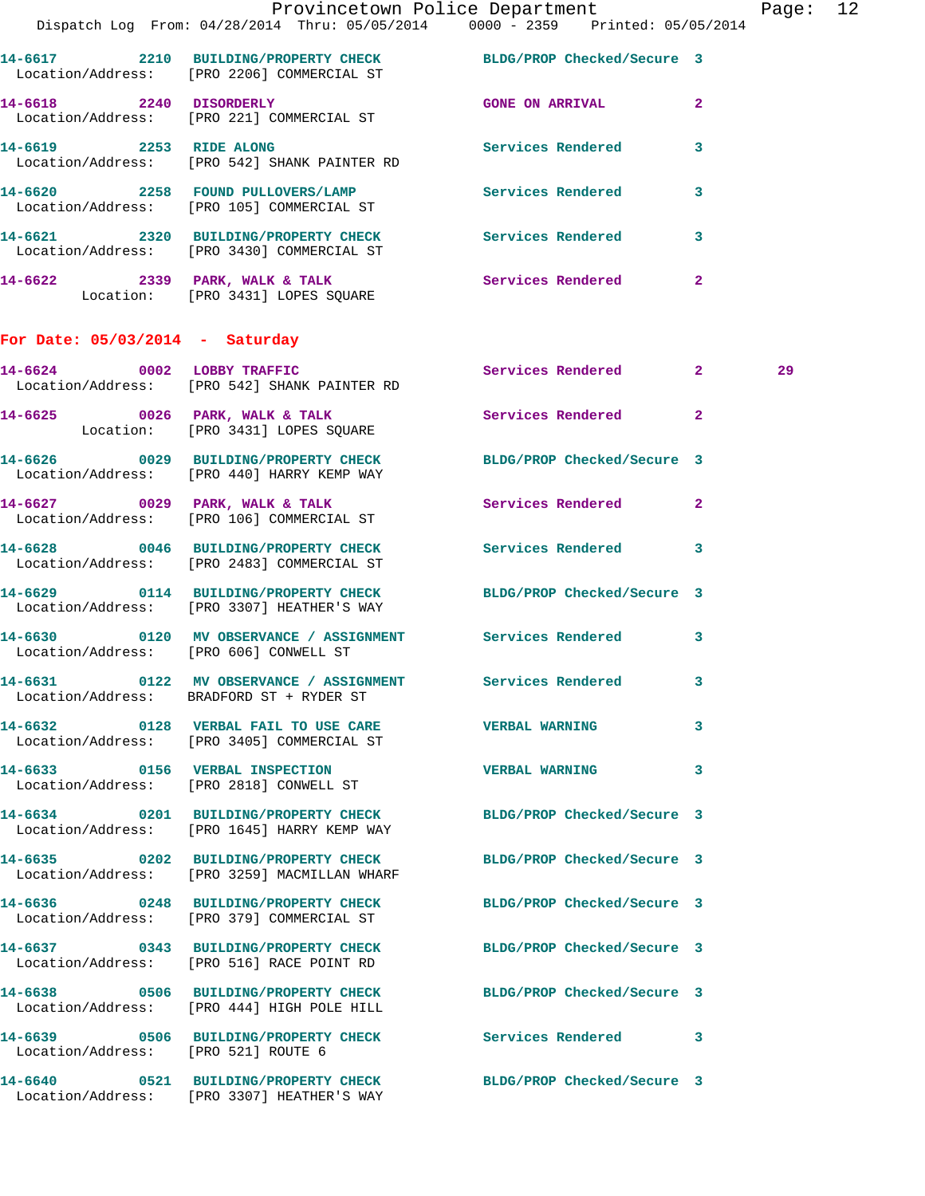|                                        | Dispatch Log From: 04/28/2014 Thru: 05/05/2014 0000 - 2359 Printed: 05/05/2014                                 | Provincetown Police Department Page: 12 |              |    |  |
|----------------------------------------|----------------------------------------------------------------------------------------------------------------|-----------------------------------------|--------------|----|--|
|                                        | 14-6617 2210 BUILDING/PROPERTY CHECK BLDG/PROP Checked/Secure 3<br>Location/Address: [PRO 2206] COMMERCIAL ST  |                                         |              |    |  |
|                                        | 14-6618 2240 DISORDERLY<br>Location/Address: [PRO 221] COMMERCIAL ST                                           | <b>GONE ON ARRIVAL</b>                  | $\mathbf{2}$ |    |  |
|                                        |                                                                                                                | Services Rendered                       | 3            |    |  |
|                                        | 14-6620 2258 FOUND PULLOVERS/LAMP Services Rendered<br>Location/Address: [PRO 105] COMMERCIAL ST               |                                         | $\mathbf{3}$ |    |  |
|                                        | 14-6621 2320 BUILDING/PROPERTY CHECK Services Rendered<br>Location/Address: [PRO 3430] COMMERCIAL ST           |                                         | $\mathbf{3}$ |    |  |
|                                        | 14-6622 2339 PARK, WALK & TALK 2008 Services Rendered<br>Location: [PRO 3431] LOPES SQUARE                     |                                         | $\mathbf{2}$ |    |  |
| For Date: $05/03/2014$ - Saturday      |                                                                                                                |                                         |              |    |  |
|                                        | 14-6624 0002 LOBBY TRAFFIC<br>Location/Address: [PRO 542] SHANK PAINTER RD                                     | Services Rendered 2                     |              | 29 |  |
|                                        | 14-6625 0026 PARK, WALK & TALK<br>Location: [PRO 3431] LOPES SQUARE                                            | Services Rendered                       | $\mathbf{2}$ |    |  |
|                                        | 14-6626 0029 BUILDING/PROPERTY CHECK BLDG/PROP Checked/Secure 3<br>Location/Address: [PRO 440] HARRY KEMP WAY  |                                         |              |    |  |
|                                        | 14-6627 0029 PARK, WALK & TALK 3 Services Rendered 2<br>Location/Address: [PRO 106] COMMERCIAL ST              |                                         |              |    |  |
|                                        | 14-6628 0046 BUILDING/PROPERTY CHECK Services Rendered<br>Location/Address: [PRO 2483] COMMERCIAL ST           |                                         | 3            |    |  |
|                                        | 14-6629 0114 BUILDING/PROPERTY CHECK BLDG/PROP Checked/Secure 3<br>Location/Address: [PRO 3307] HEATHER'S WAY  |                                         |              |    |  |
| Location/Address: [PRO 606] CONWELL ST | 14-6630 0120 MV OBSERVANCE / ASSIGNMENT Services Rendered 3                                                    |                                         |              |    |  |
|                                        | 14-6631 0122 MV OBSERVANCE / ASSIGNMENT<br>Location/Address: BRADFORD ST + RYDER ST                            | Services Rendered 3                     |              |    |  |
|                                        | 14-6632 0128 VERBAL FAIL TO USE CARE WERBAL WARNING<br>Location/Address: [PRO 3405] COMMERCIAL ST              |                                         | 3            |    |  |
|                                        | 14-6633 0156 VERBAL INSPECTION<br>Location/Address: [PRO 2818] CONWELL ST                                      | <b>VERBAL WARNING</b>                   | 3            |    |  |
|                                        | 14-6634 0201 BUILDING/PROPERTY CHECK BLDG/PROP Checked/Secure 3<br>Location/Address: [PRO 1645] HARRY KEMP WAY |                                         |              |    |  |
|                                        | 14-6635 0202 BUILDING/PROPERTY CHECK<br>Location/Address: [PRO 3259] MACMILLAN WHARF                           | BLDG/PROP Checked/Secure 3              |              |    |  |
|                                        | 14-6636 0248 BUILDING/PROPERTY CHECK BLDG/PROP Checked/Secure 3<br>Location/Address: [PRO 379] COMMERCIAL ST   |                                         |              |    |  |
|                                        | 14-6637 0343 BUILDING/PROPERTY CHECK BLDG/PROP Checked/Secure 3<br>Location/Address: [PRO 516] RACE POINT RD   |                                         |              |    |  |
|                                        | 14-6638 0506 BUILDING/PROPERTY CHECK BLDG/PROP Checked/Secure 3<br>Location/Address: [PRO 444] HIGH POLE HILL  |                                         |              |    |  |
| Location/Address: [PRO 521] ROUTE 6    | 14-6639 0506 BUILDING/PROPERTY CHECK Services Rendered 3                                                       |                                         |              |    |  |
|                                        | 14-6640 0521 BUILDING/PROPERTY CHECK BLDG/PROP Checked/Secure 3<br>Location/Address: [PRO 3307] HEATHER'S WAY  |                                         |              |    |  |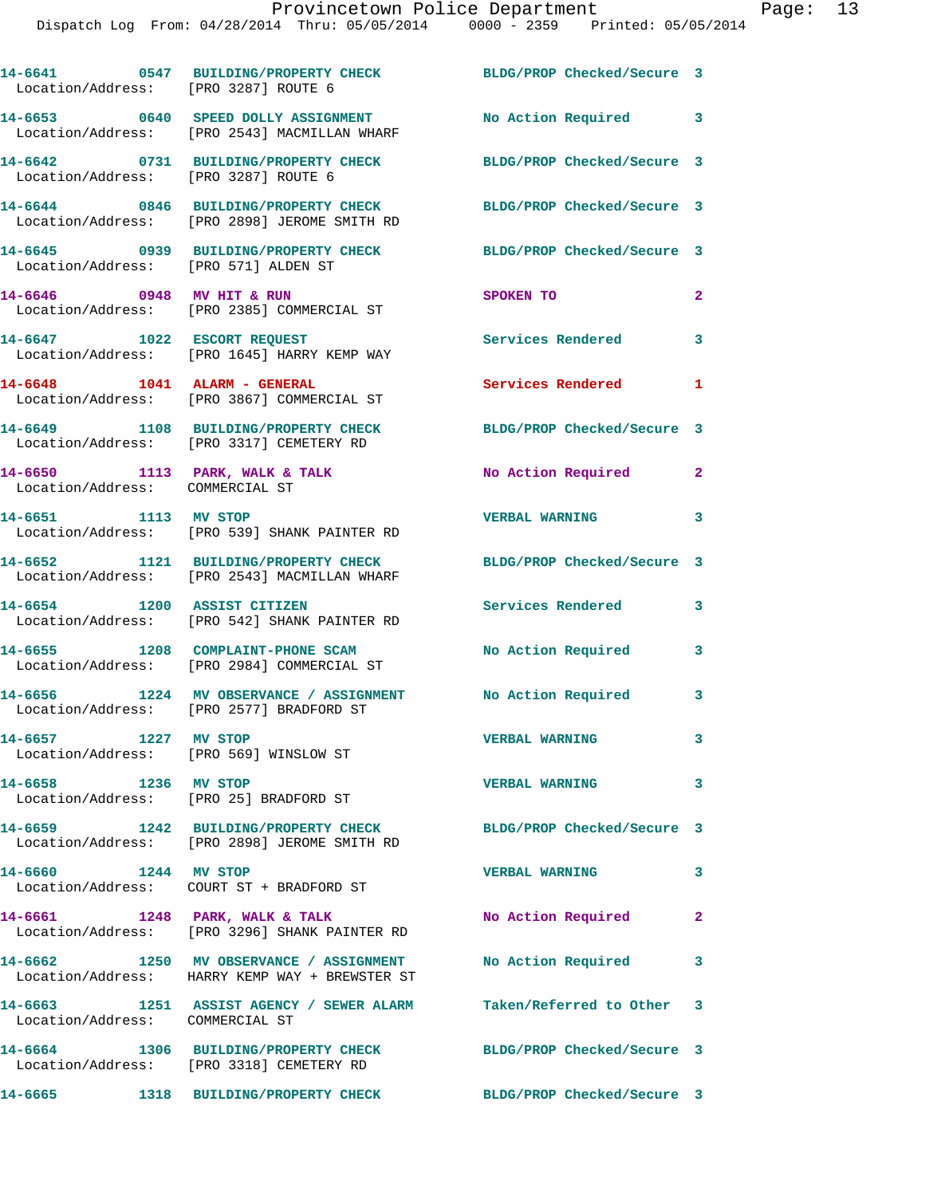| Location/Address: [PRO 3287] ROUTE 6                           | 14-6641 0547 BUILDING/PROPERTY CHECK BLDG/PROP Checked/Secure 3                                                 |                            |              |
|----------------------------------------------------------------|-----------------------------------------------------------------------------------------------------------------|----------------------------|--------------|
|                                                                | 14-6653 0640 SPEED DOLLY ASSIGNMENT<br>Location/Address: [PRO 2543] MACMILLAN WHARF                             | No Action Required 3       |              |
| Location/Address: [PRO 3287] ROUTE 6                           | 14-6642 0731 BUILDING/PROPERTY CHECK                                                                            | BLDG/PROP Checked/Secure 3 |              |
|                                                                | 14-6644 0846 BUILDING/PROPERTY CHECK BLDG/PROP Checked/Secure 3<br>Location/Address: [PRO 2898] JEROME SMITH RD |                            |              |
|                                                                | 14-6645 0939 BUILDING/PROPERTY CHECK<br>Location/Address: [PRO 571] ALDEN ST                                    | BLDG/PROP Checked/Secure 3 |              |
| 14-6646 0948 MV HIT & RUN                                      | Location/Address: [PRO 2385] COMMERCIAL ST                                                                      | SPOKEN TO                  | $\mathbf{2}$ |
|                                                                | 14-6647 1022 ESCORT REQUEST<br>Location/Address: [PRO 1645] HARRY KEMP WAY                                      | Services Rendered          | 3            |
|                                                                | 14-6648    1041    ALARM - GENERAL<br>Location/Address: [PRO 3867] COMMERCIAL ST                                | <b>Services Rendered</b>   | 1            |
|                                                                | 14-6649 1108 BUILDING/PROPERTY CHECK<br>Location/Address: [PRO 3317] CEMETERY RD                                | BLDG/PROP Checked/Secure 3 |              |
| Location/Address: COMMERCIAL ST                                | 14-6650 1113 PARK, WALK & TALK                                                                                  | No Action Required         | $\mathbf{2}$ |
| 14-6651 1113 MV STOP                                           | Location/Address: [PRO 539] SHANK PAINTER RD                                                                    | VERBAL WARNING 3           |              |
|                                                                | 14-6652 1121 BUILDING/PROPERTY CHECK<br>Location/Address: [PRO 2543] MACMILLAN WHARF                            | BLDG/PROP Checked/Secure 3 |              |
| 14-6654 1200 ASSIST CITIZEN                                    | Location/Address: [PRO 542] SHANK PAINTER RD                                                                    | Services Rendered          | 3            |
|                                                                | 14-6655 1208 COMPLAINT-PHONE SCAM<br>Location/Address: [PRO 2984] COMMERCIAL ST                                 | No Action Required         | 3            |
|                                                                | 14-6656 1224 MV OBSERVANCE / ASSIGNMENT<br>Location/Address: [PRO 2577] BRADFORD ST                             | No Action Required 3       |              |
| 14-6657 1227 MV STOP<br>Location/Address: [PRO 569] WINSLOW ST |                                                                                                                 | <b>VERBAL WARNING</b>      | 3            |
| 14-6658 1236 MV STOP                                           | Location/Address: [PRO 25] BRADFORD ST                                                                          | <b>VERBAL WARNING</b>      | 3            |
|                                                                | 14-6659 1242 BUILDING/PROPERTY CHECK<br>Location/Address: [PRO 2898] JEROME SMITH RD                            | BLDG/PROP Checked/Secure 3 |              |
| 14-6660 1244 MV STOP                                           |                                                                                                                 | <b>VERBAL WARNING</b>      | 3            |
|                                                                | 14-6661 1248 PARK, WALK & TALK<br>Location/Address: [PRO 3296] SHANK PAINTER RD                                 | No Action Required         | $\mathbf{2}$ |
|                                                                | 14-6662 1250 MV OBSERVANCE / ASSIGNMENT<br>Location/Address: HARRY KEMP WAY + BREWSTER ST                       | No Action Required         | 3            |
| Location/Address: COMMERCIAL ST                                | 14-6663 1251 ASSIST AGENCY / SEWER ALARM Taken/Referred to Other 3                                              |                            |              |
|                                                                | 14-6664 1306 BUILDING/PROPERTY CHECK<br>Location/Address: [PRO 3318] CEMETERY RD                                | BLDG/PROP Checked/Secure 3 |              |
| 14-6665                                                        | 1318 BUILDING/PROPERTY CHECK                                                                                    | BLDG/PROP Checked/Secure 3 |              |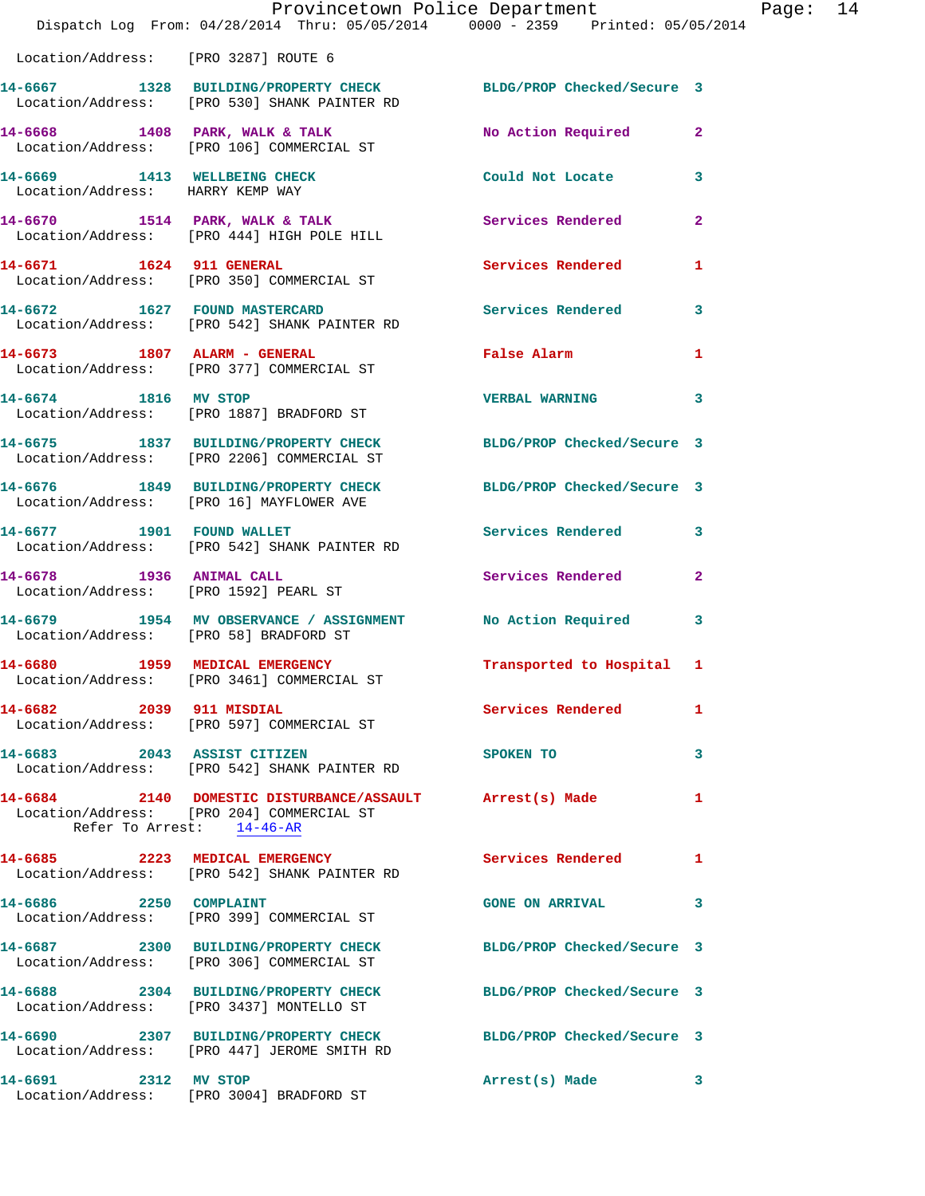|                                                                   | Provincetown Police Department<br>Dispatch Log From: 04/28/2014 Thru: 05/05/2014 0000 - 2359 Printed: 05/05/2014                   |                            |                |
|-------------------------------------------------------------------|------------------------------------------------------------------------------------------------------------------------------------|----------------------------|----------------|
| Location/Address: [PRO 3287] ROUTE 6                              |                                                                                                                                    |                            |                |
|                                                                   | 14-6667 1328 BUILDING/PROPERTY CHECK BLDG/PROP Checked/Secure 3<br>Location/Address: [PRO 530] SHANK PAINTER RD                    |                            |                |
|                                                                   | 14-6668 1408 PARK, WALK & TALK<br>Location/Address: [PRO 106] COMMERCIAL ST                                                        | No Action Required         | 2              |
| 14-6669 1413 WELLBEING CHECK<br>Location/Address: HARRY KEMP WAY  |                                                                                                                                    | Could Not Locate           | 3              |
|                                                                   | 14-6670 1514 PARK, WALK & TALK<br>Location/Address: [PRO 444] HIGH POLE HILL                                                       | <b>Services Rendered</b>   | $\mathbf{2}$   |
| 14-6671 1624 911 GENERAL                                          | Location/Address: [PRO 350] COMMERCIAL ST                                                                                          | Services Rendered          | 1              |
|                                                                   | 14-6672 1627 FOUND MASTERCARD<br>Location/Address: [PRO 542] SHANK PAINTER RD                                                      | <b>Services Rendered</b>   | 3              |
|                                                                   | 14-6673 1807 ALARM - GENERAL<br>Location/Address: [PRO 377] COMMERCIAL ST                                                          | False Alarm                | 1              |
|                                                                   | 14-6674 1816 MV STOP<br>Location/Address: [PRO 1887] BRADFORD ST                                                                   | <b>VERBAL WARNING</b>      | 3              |
|                                                                   | 14-6675 1837 BUILDING/PROPERTY CHECK<br>Location/Address: [PRO 2206] COMMERCIAL ST                                                 | BLDG/PROP Checked/Secure 3 |                |
|                                                                   | 14-6676 1849 BUILDING/PROPERTY CHECK<br>Location/Address: [PRO 16] MAYFLOWER AVE                                                   | BLDG/PROP Checked/Secure 3 |                |
| 14-6677 1901 FOUND WALLET                                         | Location/Address: [PRO 542] SHANK PAINTER RD                                                                                       | Services Rendered          | 3              |
| 14-6678 1936 ANIMAL CALL<br>Location/Address: [PRO 1592] PEARL ST |                                                                                                                                    | Services Rendered          | $\overline{a}$ |
| Location/Address: [PRO 58] BRADFORD ST                            | 14-6679 1954 MV OBSERVANCE / ASSIGNMENT                                                                                            | No Action Required         | 3              |
| 14-6680 1959 MEDICAL EMERGENCY                                    | Location/Address: [PRO 3461] COMMERCIAL ST                                                                                         | Transported to Hospital 1  |                |
| 14-6682 2039 911 MISDIAL                                          | Location/Address: [PRO 597] COMMERCIAL ST                                                                                          | Services Rendered          | 1              |
|                                                                   | 14-6683 2043 ASSIST CITIZEN<br>Location/Address: [PRO 542] SHANK PAINTER RD                                                        | SPOKEN TO                  | 3              |
|                                                                   | 14-6684 2140 DOMESTIC DISTURBANCE/ASSAULT Arrest(s) Made<br>Location/Address: [PRO 204] COMMERCIAL ST<br>Refer To Arrest: 14-46-AR |                            | 1              |
|                                                                   | 14-6685 2223 MEDICAL EMERGENCY<br>Location/Address: [PRO 542] SHANK PAINTER RD                                                     | <b>Services Rendered</b>   | 1              |
| 14-6686 2250 COMPLAINT                                            | Location/Address: [PRO 399] COMMERCIAL ST                                                                                          | <b>GONE ON ARRIVAL</b>     | 3              |
|                                                                   | 14-6687 2300 BUILDING/PROPERTY CHECK<br>Location/Address: [PRO 306] COMMERCIAL ST                                                  | BLDG/PROP Checked/Secure 3 |                |
|                                                                   | 14-6688 2304 BUILDING/PROPERTY CHECK<br>Location/Address: [PRO 3437] MONTELLO ST                                                   | BLDG/PROP Checked/Secure 3 |                |
|                                                                   | 14-6690 2307 BUILDING/PROPERTY CHECK BLDG/PROP Checked/Secure 3<br>Location/Address: [PRO 447] JEROME SMITH RD                     |                            |                |
| 14-6691 2312 MV STOP                                              | Location/Address: [PRO 3004] BRADFORD ST                                                                                           | Arrest(s) Made             | 3              |

Page:  $14$ <br> $014$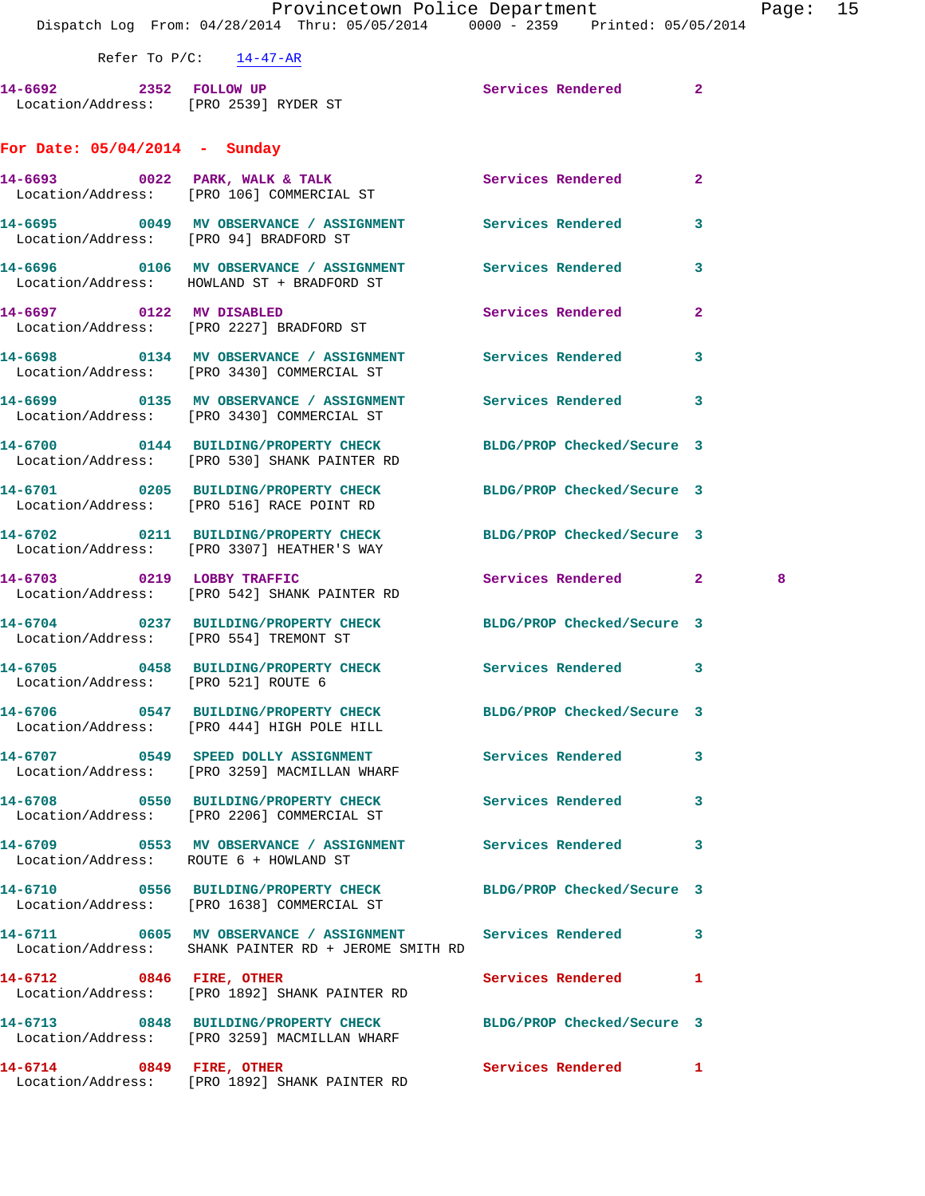## **For Date: 05/04/2014 - Sunday**

|                                        | $14-6693$ 0022 PARK, WALK & TALK<br>Location/Address: [PRO 106] COMMERCIAL ST                                               | Services Rendered          | 2                   |  |
|----------------------------------------|-----------------------------------------------------------------------------------------------------------------------------|----------------------------|---------------------|--|
| Location/Address: [PRO 94] BRADFORD ST | 14-6695 0049 MV OBSERVANCE / ASSIGNMENT Services Rendered                                                                   |                            | 3                   |  |
|                                        | Location/Address: HOWLAND ST + BRADFORD ST                                                                                  |                            | 3                   |  |
| 14-6697 0122 MV DISABLED               | Location/Address: [PRO 2227] BRADFORD ST                                                                                    | Services Rendered          | $\mathbf{2}$        |  |
|                                        | 14-6698       0134   MV OBSERVANCE / ASSIGNMENT      Services Rendered<br>Location/Address: [PRO 3430] COMMERCIAL ST        |                            | 3                   |  |
|                                        | 14-6699 0135 MV OBSERVANCE / ASSIGNMENT Services Rendered<br>Location/Address: [PRO 3430] COMMERCIAL ST                     |                            | 3                   |  |
|                                        | 14-6700 0144 BUILDING/PROPERTY CHECK<br>Location/Address: [PRO 530] SHANK PAINTER RD                                        | BLDG/PROP Checked/Secure 3 |                     |  |
|                                        | 14-6701 0205 BUILDING/PROPERTY CHECK<br>Location/Address: [PRO 516] RACE POINT RD                                           | BLDG/PROP Checked/Secure 3 |                     |  |
|                                        | 14-6702 0211 BUILDING/PROPERTY CHECK BLDG/PROP Checked/Secure 3<br>Location/Address: [PRO 3307] HEATHER'S WAY               |                            |                     |  |
|                                        | 14-6703 0219 LOBBY TRAFFIC<br>Location/Address: [PRO 542] SHANK PAINTER RD                                                  | Services Rendered          | $\mathbf{2}$<br>- 8 |  |
|                                        | 14-6704 0237 BUILDING/PROPERTY CHECK BLDG/PROP Checked/Secure 3<br>Location/Address: [PRO 554] TREMONT ST                   |                            |                     |  |
| Location/Address: [PRO 521] ROUTE 6    | 14-6705 0458 BUILDING/PROPERTY CHECK Services Rendered                                                                      |                            | 3                   |  |
|                                        | 14-6706 0547 BUILDING/PROPERTY CHECK<br>Location/Address: [PRO 444] HIGH POLE HILL                                          | BLDG/PROP Checked/Secure 3 |                     |  |
|                                        | 14-6707 0549 SPEED DOLLY ASSIGNMENT<br>Location/Address: [PRO 3259] MACMILLAN WHARF                                         | Services Rendered          | 3                   |  |
|                                        | 14-6708 0550 BUILDING/PROPERTY CHECK<br>Location/Address: [PRO 2206] COMMERCIAL ST                                          | Services Rendered          | 3                   |  |
| Location/Address: ROUTE 6 + HOWLAND ST | 14-6709 0553 MV OBSERVANCE / ASSIGNMENT                                                                                     | <b>Services Rendered</b>   | 3                   |  |
|                                        | 14-6710       0556  BUILDING/PROPERTY_CHECK        BLDG/PROP_Checked/Secure 3<br>Location/Address: [PRO 1638] COMMERCIAL ST |                            |                     |  |
|                                        | 14-6711 0605 MV OBSERVANCE / ASSIGNMENT Services Rendered<br>Location/Address: SHANK PAINTER RD + JEROME SMITH RD           |                            | 3                   |  |
| 14-6712 0846 FIRE, OTHER               | Location/Address: [PRO 1892] SHANK PAINTER RD                                                                               | Services Rendered          | 1                   |  |
|                                        | 14-6713 0848 BUILDING/PROPERTY CHECK<br>Location/Address: [PRO 3259] MACMILLAN WHARF                                        | BLDG/PROP Checked/Secure 3 |                     |  |
| 14-6714 0849 FIRE, OTHER               | Location/Address: [PRO 1892] SHANK PAINTER RD                                                                               | Services Rendered          | 1                   |  |
|                                        |                                                                                                                             |                            |                     |  |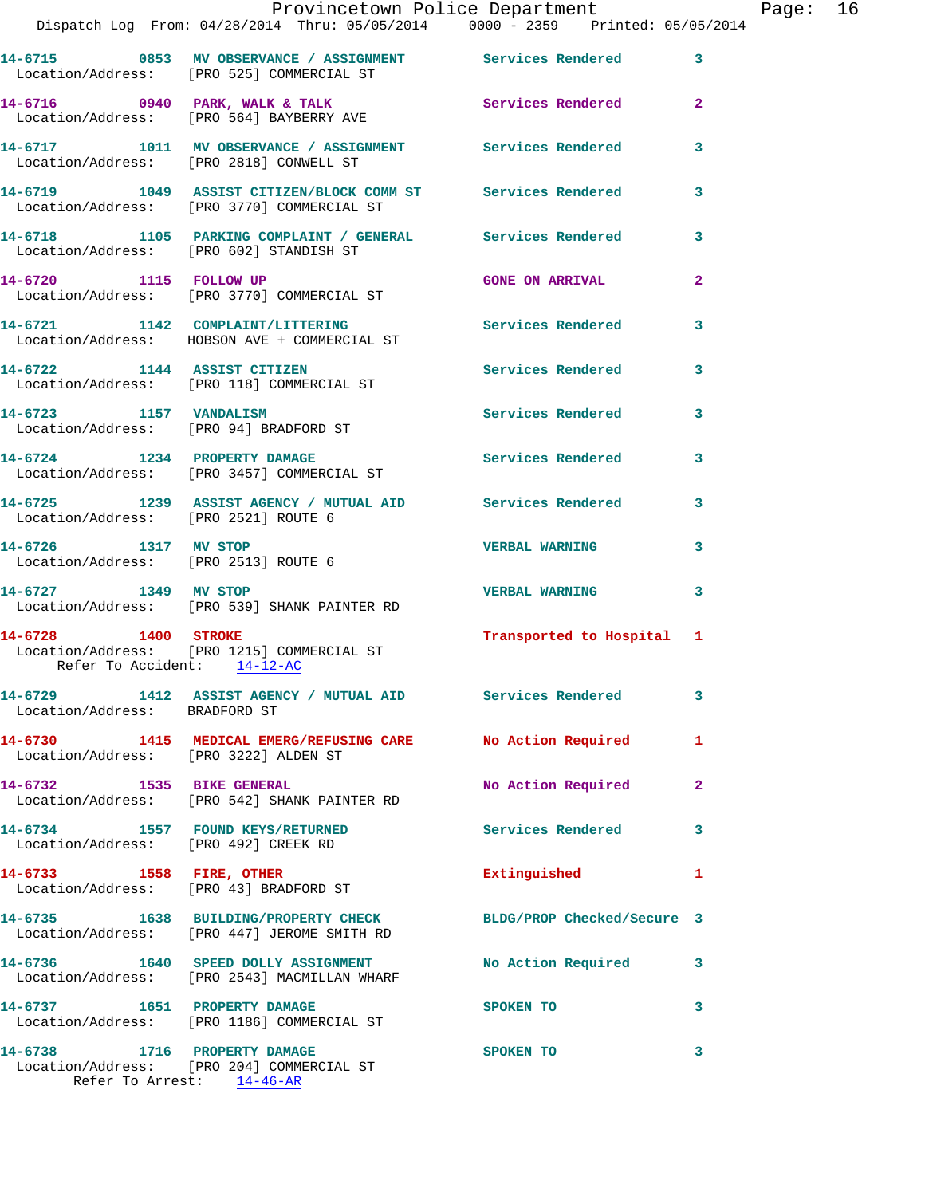|                                                              | Provincetown Police Department<br>Dispatch Log From: 04/28/2014 Thru: 05/05/2014 0000 - 2359 Printed: 05/05/2014 |                           |              |
|--------------------------------------------------------------|------------------------------------------------------------------------------------------------------------------|---------------------------|--------------|
|                                                              |                                                                                                                  |                           |              |
|                                                              | 14-6715 0853 MV OBSERVANCE / ASSIGNMENT Services Rendered<br>Location/Address: [PRO 525] COMMERCIAL ST           |                           | 3            |
|                                                              | 14-6716 0940 PARK, WALK & TALK Services Rendered<br>Location/Address: [PRO 564] BAYBERRY AVE                     |                           | $\mathbf{2}$ |
|                                                              | 14-6717 1011 MV OBSERVANCE / ASSIGNMENT Services Rendered<br>Location/Address: [PRO 2818] CONWELL ST             |                           | 3            |
|                                                              | 14-6719 1049 ASSIST CITIZEN/BLOCK COMM ST Services Rendered<br>Location/Address: [PRO 3770] COMMERCIAL ST        |                           | 3            |
|                                                              | 14-6718 1105 PARKING COMPLAINT / GENERAL Services Rendered<br>Location/Address: [PRO 602] STANDISH ST            |                           | 3            |
| 14-6720 1115 FOLLOW UP                                       | Location/Address: [PRO 3770] COMMERCIAL ST                                                                       | <b>GONE ON ARRIVAL</b>    | $\mathbf{2}$ |
|                                                              | 14-6721 1142 COMPLAINT/LITTERING<br>Location/Address: HOBSON AVE + COMMERCIAL ST                                 | Services Rendered         | 3            |
|                                                              | 14-6722 1144 ASSIST CITIZEN<br>Location/Address: [PRO 118] COMMERCIAL ST                                         | Services Rendered         | 3            |
| 14-6723 1157 VANDALISM                                       | Location/Address: [PRO 94] BRADFORD ST                                                                           | Services Rendered         | 3            |
|                                                              | 14-6724 1234 PROPERTY DAMAGE<br>Location/Address: [PRO 3457] COMMERCIAL ST                                       | <b>Services Rendered</b>  | 3            |
| Location/Address: [PRO 2521] ROUTE 6                         | 14-6725 1239 ASSIST AGENCY / MUTUAL AID Services Rendered                                                        |                           | 3            |
| 14-6726 1317 MV STOP<br>Location/Address: [PRO 2513] ROUTE 6 |                                                                                                                  | <b>VERBAL WARNING</b>     | 3            |
| 14-6727 1349 MV STOP                                         | Location/Address: [PRO 539] SHANK PAINTER RD                                                                     | <b>VERBAL WARNING</b>     | 3            |
| 14-6728 1400 STROKE<br>Refer To Accident: 14-12-AC           | Location/Address: [PRO 1215] COMMERCIAL ST                                                                       | Transported to Hospital 1 |              |
| Location/Address: BRADFORD ST                                | 14-6729 1412 ASSIST AGENCY / MUTUAL AID Services Rendered                                                        |                           | 3            |
| Location/Address: [PRO 3222] ALDEN ST                        | 14-6730 1415 MEDICAL EMERG/REFUSING CARE No Action Required                                                      |                           | 1            |
| 14-6732 1535 BIKE GENERAL                                    | Location/Address: [PRO 542] SHANK PAINTER RD                                                                     | No Action Required        | $\mathbf{2}$ |
| Location/Address: [PRO 492] CREEK RD                         | 14-6734 1557 FOUND KEYS/RETURNED                                                                                 | <b>Services Rendered</b>  | 3            |
| 14-6733 1558 FIRE, OTHER                                     | Location/Address: [PRO 43] BRADFORD ST                                                                           | Extinguished              | 1            |
|                                                              | 14-6735 1638 BUILDING/PROPERTY CHECK BLDG/PROP Checked/Secure 3<br>Location/Address: [PRO 447] JEROME SMITH RD   |                           |              |
|                                                              | 14-6736 1640 SPEED DOLLY ASSIGNMENT No Action Required<br>Location/Address: [PRO 2543] MACMILLAN WHARF           |                           | 3            |
|                                                              | 14-6737 1651 PROPERTY DAMAGE<br>Location/Address: [PRO 1186] COMMERCIAL ST                                       | SPOKEN TO                 | 3            |
| 14-6738 1716 PROPERTY DAMAGE                                 | Location/Address: [PRO 204] COMMERCIAL ST                                                                        | SPOKEN TO                 | 3            |

Refer To Arrest: 14-46-AR

Page: 16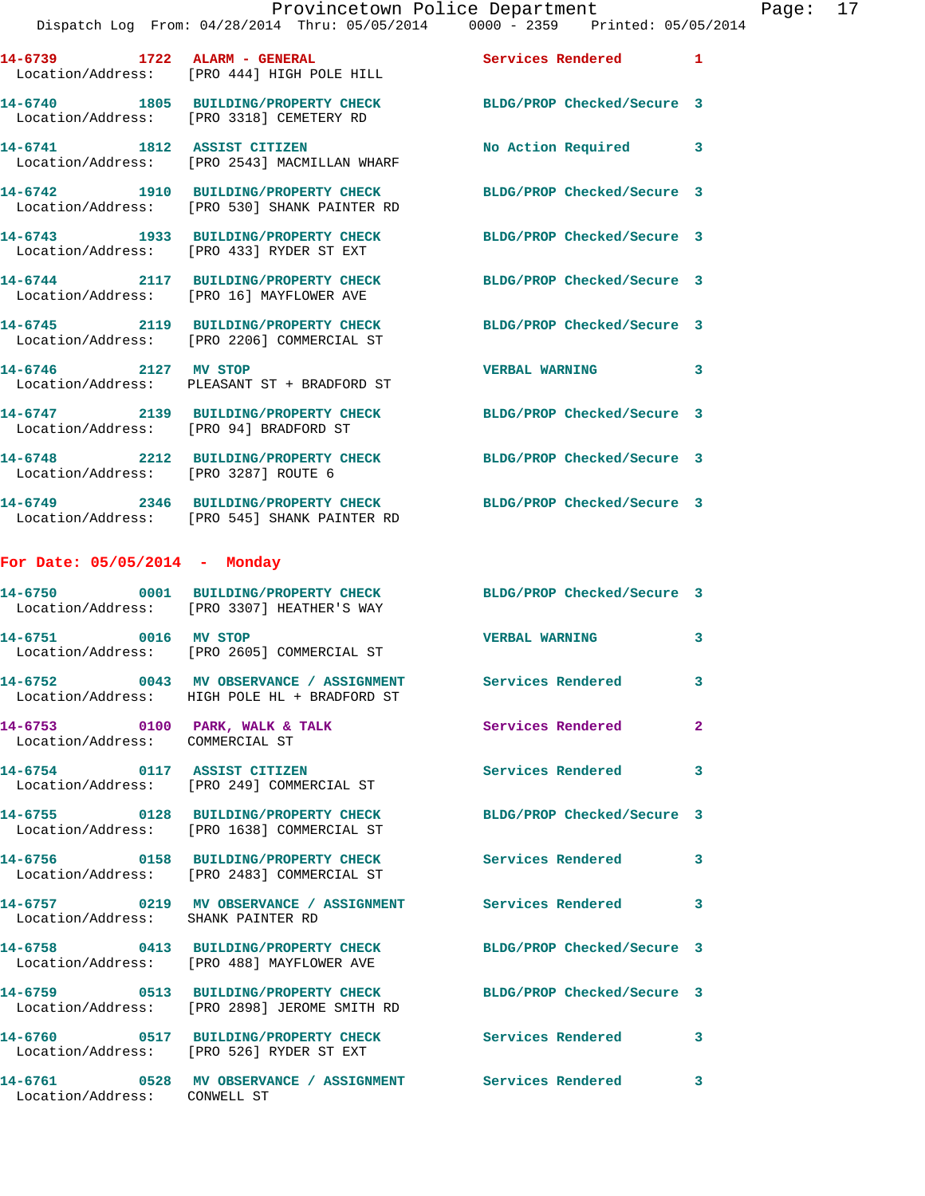|                                                                   | Provincetown Police Department<br>Dispatch Log From: 04/28/2014 Thru: 05/05/2014 0000 - 2359 Printed: 05/05/2014 |                       |              | Page: 17 |  |
|-------------------------------------------------------------------|------------------------------------------------------------------------------------------------------------------|-----------------------|--------------|----------|--|
|                                                                   | 14-6739 1722 ALARM - GENERAL Services Rendered 1<br>Location/Address: [PRO 444] HIGH POLE HILL                   |                       |              |          |  |
|                                                                   | 14-6740 1805 BUILDING/PROPERTY CHECK BLDG/PROP Checked/Secure 3<br>Location/Address: [PRO 3318] CEMETERY RD      |                       |              |          |  |
|                                                                   | 14-6741 1812 ASSIST CITIZEN<br>Location/Address: [PRO 2543] MACMILLAN WHARF                                      | No Action Required 3  |              |          |  |
|                                                                   | 14-6742 1910 BUILDING/PROPERTY CHECK BLDG/PROP Checked/Secure 3<br>Location/Address: [PRO 530] SHANK PAINTER RD  |                       |              |          |  |
|                                                                   | 14-6743 1933 BUILDING/PROPERTY CHECK BLDG/PROP Checked/Secure 3<br>Location/Address: [PRO 433] RYDER ST EXT      |                       |              |          |  |
|                                                                   | 14-6744 2117 BUILDING/PROPERTY CHECK BLDG/PROP Checked/Secure 3<br>Location/Address: [PRO 16] MAYFLOWER AVE      |                       |              |          |  |
|                                                                   | 14-6745 2119 BUILDING/PROPERTY CHECK BLDG/PROP Checked/Secure 3<br>Location/Address: [PRO 2206] COMMERCIAL ST    |                       |              |          |  |
| 14-6746 2127 MV STOP                                              | Location/Address: PLEASANT ST + BRADFORD ST                                                                      | VERBAL WARNING 3      |              |          |  |
| Location/Address: [PRO 94] BRADFORD ST                            | 14-6747 2139 BUILDING/PROPERTY CHECK BLDG/PROP Checked/Secure 3                                                  |                       |              |          |  |
| Location/Address: [PRO 3287] ROUTE 6                              | 14-6748 2212 BUILDING/PROPERTY CHECK BLDG/PROP Checked/Secure 3                                                  |                       |              |          |  |
|                                                                   | 14-6749 2346 BUILDING/PROPERTY CHECK BLDG/PROP Checked/Secure 3<br>Location/Address: [PRO 545] SHANK PAINTER RD  |                       |              |          |  |
| For Date: $05/05/2014$ - Monday                                   |                                                                                                                  |                       |              |          |  |
|                                                                   | 14-6750 0001 BUILDING/PROPERTY CHECK BLDG/PROP Checked/Secure 3<br>Location/Address: [PRO 3307] HEATHER'S WAY    |                       |              |          |  |
| 14-6751 0016 MV STOP                                              | Location/Address: [PRO 2605] COMMERCIAL ST                                                                       | <b>VERBAL WARNING</b> | 3            |          |  |
|                                                                   | 14-6752 0043 MV OBSERVANCE / ASSIGNMENT Services Rendered 3<br>Location/Address: HIGH POLE HL + BRADFORD ST      |                       |              |          |  |
| 14-6753 0100 PARK, WALK & TALK<br>Location/Address: COMMERCIAL ST |                                                                                                                  | Services Rendered     | $\mathbf{2}$ |          |  |
|                                                                   | 14-6754 0117 ASSIST CITIZEN<br>Location/Address: [PRO 249] COMMERCIAL ST                                         | Services Rendered     | 3            |          |  |
|                                                                   | 14-6755 0128 BUILDING/PROPERTY CHECK BLDG/PROP Checked/Secure 3<br>Location/Address: [PRO 1638] COMMERCIAL ST    |                       |              |          |  |
|                                                                   | 14-6756 0158 BUILDING/PROPERTY CHECK Services Rendered<br>Location/Address: [PRO 2483] COMMERCIAL ST             |                       | $\mathbf{3}$ |          |  |
| Location/Address: SHANK PAINTER RD                                | 14-6757 0219 MV OBSERVANCE / ASSIGNMENT Services Rendered 3                                                      |                       |              |          |  |
|                                                                   | 14-6758 0413 BUILDING/PROPERTY CHECK BLDG/PROP Checked/Secure 3<br>Location/Address: [PRO 488] MAYFLOWER AVE     |                       |              |          |  |
|                                                                   | 14-6759 0513 BUILDING/PROPERTY CHECK BLDG/PROP Checked/Secure 3<br>Location/Address: [PRO 2898] JEROME SMITH RD  |                       |              |          |  |
|                                                                   | 14-6760 0517 BUILDING/PROPERTY CHECK Services Rendered 3<br>Location/Address: [PRO 526] RYDER ST EXT             |                       |              |          |  |
|                                                                   |                                                                                                                  |                       |              |          |  |

**14-6761 0528 MV OBSERVANCE / ASSIGNMENT Services Rendered 3** 

Location/Address: CONWELL ST